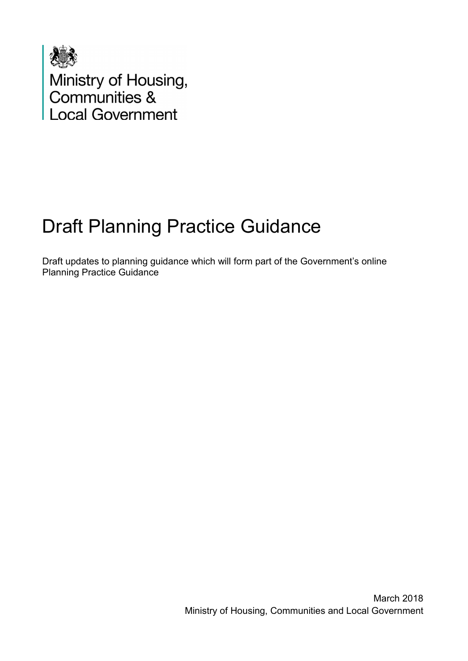

Ministry of Housing,<br>Communities &<br>Local Government

# Draft Planning Practice Guidance

Draft updates to planning guidance which will form part of the Government's online Planning Practice Guidance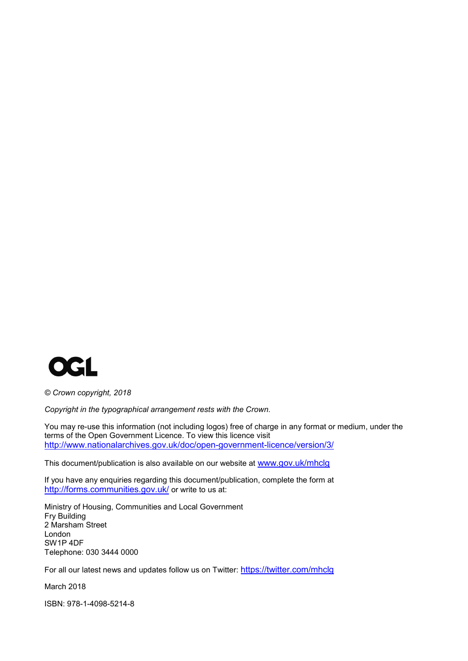

*© Crown copyright, 2018*

*Copyright in the typographical arrangement rests with the Crown.*

You may re-use this information (not including logos) free of charge in any format or medium, under the terms of the Open Government Licence. To view this licence visit <http://www.nationalarchives.gov.uk/doc/open-government-licence/version/3/>

This document/publication is also available on our website at [www.gov.uk/mhclg](http://www.gov.uk/mhclg)

If you have any enquiries regarding this document/publication, complete the form at <http://forms.communities.gov.uk/> or write to us at:

Ministry of Housing, Communities and Local Government Fry Building 2 Marsham Street London SW1P 4DF Telephone: 030 3444 0000

For all our latest news and updates follow us on Twitter:<https://twitter.com/mhclg>

March 2018

ISBN: 978-1-4098-5214-8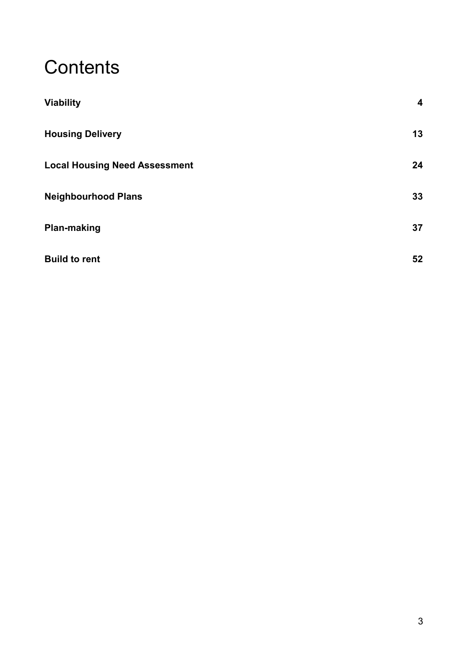# **Contents**

| <b>Viability</b>                     | 4  |
|--------------------------------------|----|
| <b>Housing Delivery</b>              | 13 |
| <b>Local Housing Need Assessment</b> | 24 |
| <b>Neighbourhood Plans</b>           | 33 |
| <b>Plan-making</b>                   | 37 |
| <b>Build to rent</b>                 | 52 |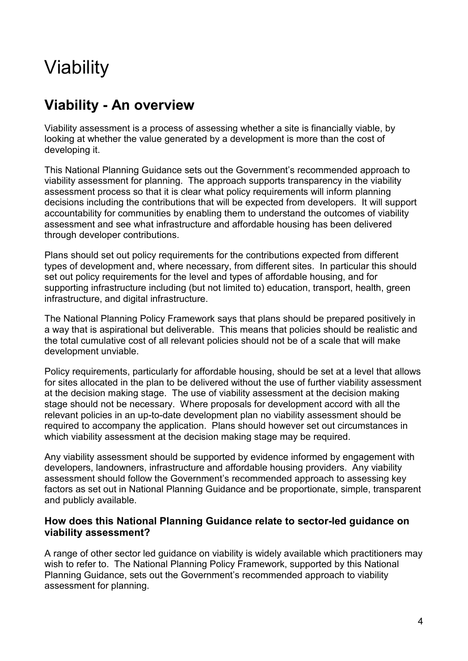# <span id="page-3-0"></span>Viability

# **Viability - An overview**

Viability assessment is a process of assessing whether a site is financially viable, by looking at whether the value generated by a development is more than the cost of developing it.

This National Planning Guidance sets out the Government's recommended approach to viability assessment for planning. The approach supports transparency in the viability assessment process so that it is clear what policy requirements will inform planning decisions including the contributions that will be expected from developers. It will support accountability for communities by enabling them to understand the outcomes of viability assessment and see what infrastructure and affordable housing has been delivered through developer contributions.

Plans should set out policy requirements for the contributions expected from different types of development and, where necessary, from different sites. In particular this should set out policy requirements for the level and types of affordable housing, and for supporting infrastructure including (but not limited to) education, transport, health, green infrastructure, and digital infrastructure.

The National Planning Policy Framework says that plans should be prepared positively in a way that is aspirational but deliverable. This means that policies should be realistic and the total cumulative cost of all relevant policies should not be of a scale that will make development unviable.

Policy requirements, particularly for affordable housing, should be set at a level that allows for sites allocated in the plan to be delivered without the use of further viability assessment at the decision making stage. The use of viability assessment at the decision making stage should not be necessary. Where proposals for development accord with all the relevant policies in an up-to-date development plan no viability assessment should be required to accompany the application. Plans should however set out circumstances in which viability assessment at the decision making stage may be required.

Any viability assessment should be supported by evidence informed by engagement with developers, landowners, infrastructure and affordable housing providers. Any viability assessment should follow the Government's recommended approach to assessing key factors as set out in National Planning Guidance and be proportionate, simple, transparent and publicly available.

# **How does this National Planning Guidance relate to sector-led guidance on viability assessment?**

A range of other sector led guidance on viability is widely available which practitioners may wish to refer to. The National Planning Policy Framework, supported by this National Planning Guidance, sets out the Government's recommended approach to viability assessment for planning.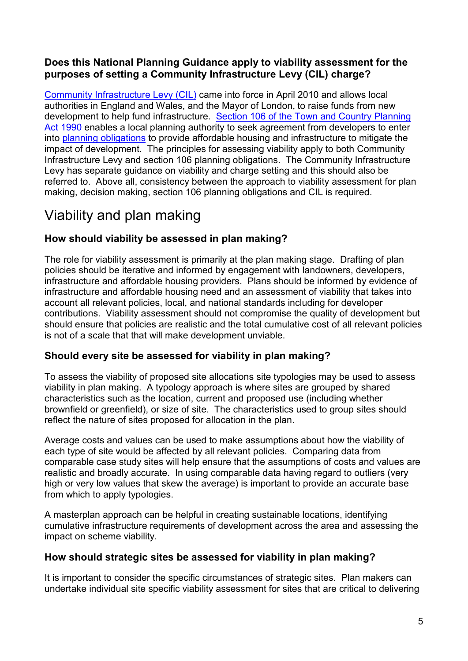# **Does this National Planning Guidance apply to viability assessment for the purposes of setting a Community Infrastructure Levy (CIL) charge?**

[Community Infrastructure Levy \(CIL\)](https://www.gov.uk/guidance/community-infrastructure-levy) came into force in April 2010 and allows local authorities in England and Wales, and the Mayor of London, to raise funds from new development to help fund infrastructure. [Section 106 of the Town and Country Planning](http://www.legislation.gov.uk/ukpga/1990/8/section/106)  [Act 1990](http://www.legislation.gov.uk/ukpga/1990/8/section/106) enables a local planning authority to seek agreement from developers to enter into [planning obligations](https://www.gov.uk/guidance/planning-obligations) to provide affordable housing and infrastructure to mitigate the impact of development. The principles for assessing viability apply to both Community Infrastructure Levy and section 106 planning obligations. The Community Infrastructure Levy has separate guidance on viability and charge setting and this should also be referred to. Above all, consistency between the approach to viability assessment for plan making, decision making, section 106 planning obligations and CIL is required.

# Viability and plan making

# **How should viability be assessed in plan making?**

The role for viability assessment is primarily at the plan making stage. Drafting of plan policies should be iterative and informed by engagement with landowners, developers, infrastructure and affordable housing providers. Plans should be informed by evidence of infrastructure and affordable housing need and an assessment of viability that takes into account all relevant policies, local, and national standards including for developer contributions. Viability assessment should not compromise the quality of development but should ensure that policies are realistic and the total cumulative cost of all relevant policies is not of a scale that that will make development unviable.

# **Should every site be assessed for viability in plan making?**

To assess the viability of proposed site allocations site typologies may be used to assess viability in plan making. A typology approach is where sites are grouped by shared characteristics such as the location, current and proposed use (including whether brownfield or greenfield), or size of site. The characteristics used to group sites should reflect the nature of sites proposed for allocation in the plan.

Average costs and values can be used to make assumptions about how the viability of each type of site would be affected by all relevant policies. Comparing data from comparable case study sites will help ensure that the assumptions of costs and values are realistic and broadly accurate. In using comparable data having regard to outliers (very high or very low values that skew the average) is important to provide an accurate base from which to apply typologies.

A masterplan approach can be helpful in creating sustainable locations, identifying cumulative infrastructure requirements of development across the area and assessing the impact on scheme viability.

#### **How should strategic sites be assessed for viability in plan making?**

It is important to consider the specific circumstances of strategic sites. Plan makers can undertake individual site specific viability assessment for sites that are critical to delivering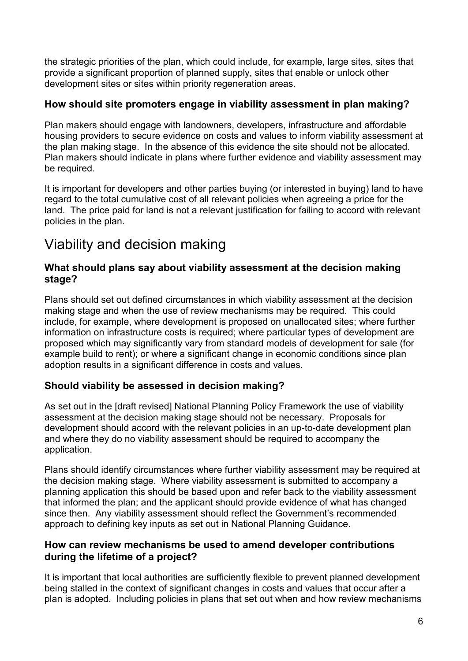the strategic priorities of the plan, which could include, for example, large sites, sites that provide a significant proportion of planned supply, sites that enable or unlock other development sites or sites within priority regeneration areas.

# **How should site promoters engage in viability assessment in plan making?**

Plan makers should engage with landowners, developers, infrastructure and affordable housing providers to secure evidence on costs and values to inform viability assessment at the plan making stage. In the absence of this evidence the site should not be allocated. Plan makers should indicate in plans where further evidence and viability assessment may be required.

It is important for developers and other parties buying (or interested in buying) land to have regard to the total cumulative cost of all relevant policies when agreeing a price for the land. The price paid for land is not a relevant justification for failing to accord with relevant policies in the plan.

# Viability and decision making

# **What should plans say about viability assessment at the decision making stage?**

Plans should set out defined circumstances in which viability assessment at the decision making stage and when the use of review mechanisms may be required. This could include, for example, where development is proposed on unallocated sites; where further information on infrastructure costs is required; where particular types of development are proposed which may significantly vary from standard models of development for sale (for example build to rent); or where a significant change in economic conditions since plan adoption results in a significant difference in costs and values.

# <span id="page-5-0"></span>**Should viability be assessed in decision making?**

As set out in the [draft revised] National Planning Policy Framework the use of viability assessment at the decision making stage should not be necessary. Proposals for development should accord with the relevant policies in an up-to-date development plan and where they do no viability assessment should be required to accompany the application.

Plans should identify circumstances where further viability assessment may be required at the decision making stage. Where viability assessment is submitted to accompany a planning application this should be based upon and refer back to the viability assessment that informed the plan; and the applicant should provide evidence of what has changed since then. Any viability assessment should reflect the Government's recommended approach to defining key inputs as set out in National Planning Guidance.

# **How can review mechanisms be used to amend developer contributions during the lifetime of a project?**

It is important that local authorities are sufficiently flexible to prevent planned development being stalled in the context of significant changes in costs and values that occur after a plan is adopted. Including policies in plans that set out when and how review mechanisms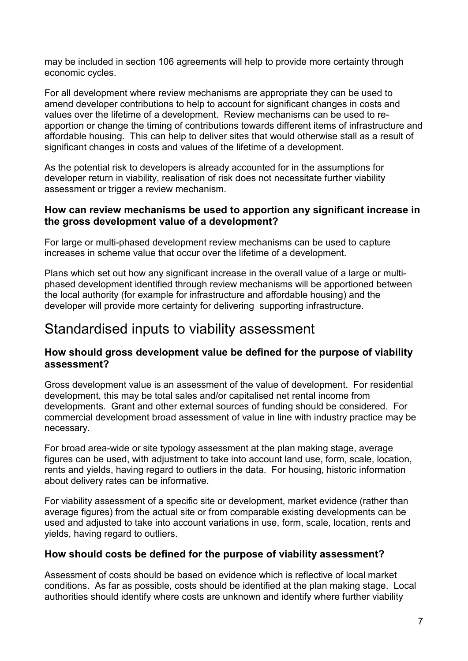may be included in section 106 agreements will help to provide more certainty through economic cycles.

For all development where review mechanisms are appropriate they can be used to amend developer contributions to help to account for significant changes in costs and values over the lifetime of a development. Review mechanisms can be used to reapportion or change the timing of contributions towards different items of infrastructure and affordable housing. This can help to deliver sites that would otherwise stall as a result of significant changes in costs and values of the lifetime of a development.

As the potential risk to developers is already accounted for in the assumptions for developer return in viability, realisation of risk does not necessitate further viability assessment or trigger a review mechanism.

#### **How can review mechanisms be used to apportion any significant increase in the gross development value of a development?**

For large or multi-phased development review mechanisms can be used to capture increases in scheme value that occur over the lifetime of a development.

Plans which set out how any significant increase in the overall value of a large or multiphased development identified through review mechanisms will be apportioned between the local authority (for example for infrastructure and affordable housing) and the developer will provide more certainty for delivering supporting infrastructure.

# Standardised inputs to viability assessment

# **How should gross development value be defined for the purpose of viability assessment?**

Gross development value is an assessment of the value of development. For residential development, this may be total sales and/or capitalised net rental income from developments. Grant and other external sources of funding should be considered. For commercial development broad assessment of value in line with industry practice may be necessary.

For broad area-wide or site typology assessment at the plan making stage, average figures can be used, with adjustment to take into account land use, form, scale, location, rents and yields, having regard to outliers in the data. For housing, historic information about delivery rates can be informative.

For viability assessment of a specific site or development, market evidence (rather than average figures) from the actual site or from comparable existing developments can be used and adjusted to take into account variations in use, form, scale, location, rents and yields, having regard to outliers.

#### **How should costs be defined for the purpose of viability assessment?**

Assessment of costs should be based on evidence which is reflective of local market conditions. As far as possible, costs should be identified at the plan making stage. Local authorities should identify where costs are unknown and identify where further viability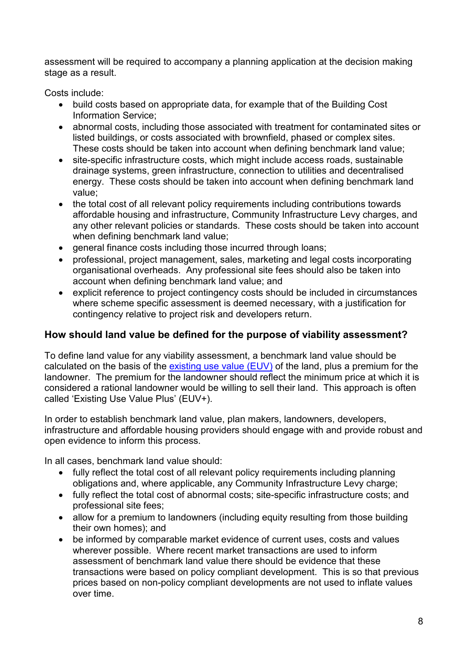assessment will be required to accompany a planning application at the decision making stage as a result.

Costs include:

- build costs based on appropriate data, for example that of the Building Cost Information Service;
- abnormal costs, including those associated with treatment for contaminated sites or listed buildings, or costs associated with brownfield, phased or complex sites. These costs should be taken into account when defining benchmark land value;
- site-specific infrastructure costs, which might include access roads, sustainable drainage systems, green infrastructure, connection to utilities and decentralised energy. These costs should be taken into account when defining benchmark land value;
- the total cost of all relevant policy requirements including contributions towards affordable housing and infrastructure, Community Infrastructure Levy charges, and any other relevant policies or standards. These costs should be taken into account when defining benchmark land value;
- general finance costs including those incurred through loans;
- professional, project management, sales, marketing and legal costs incorporating organisational overheads. Any professional site fees should also be taken into account when defining benchmark land value; and
- explicit reference to project contingency costs should be included in circumstances where scheme specific assessment is deemed necessary, with a justification for contingency relative to project risk and developers return.

# **How should land value be defined for the purpose of viability assessment?**

To define land value for any viability assessment, a benchmark land value should be calculated on the basis of the [existing use value \(EUV\)](#page-8-0) of the land, plus a premium for the landowner. The premium for the landowner should reflect the minimum price at which it is considered a rational landowner would be willing to sell their land. This approach is often called 'Existing Use Value Plus' (EUV+).

In order to establish benchmark land value, plan makers, landowners, developers, infrastructure and affordable housing providers should engage with and provide robust and open evidence to inform this process.

In all cases, benchmark land value should:

- fully reflect the total cost of all relevant policy requirements including planning obligations and, where applicable, any Community Infrastructure Levy charge;
- fully reflect the total cost of abnormal costs; site-specific infrastructure costs; and professional site fees;
- allow for a premium to landowners (including equity resulting from those building their own homes); and
- be informed by comparable market evidence of current uses, costs and values wherever possible. Where recent market transactions are used to inform assessment of benchmark land value there should be evidence that these transactions were based on policy compliant development. This is so that previous prices based on non-policy compliant developments are not used to inflate values over time.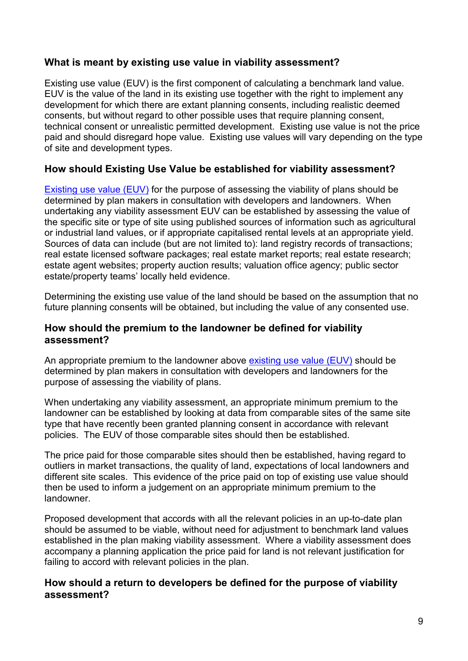# <span id="page-8-0"></span>**What is meant by existing use value in viability assessment?**

Existing use value (EUV) is the first component of calculating a benchmark land value. EUV is the value of the land in its existing use together with the right to implement any development for which there are extant planning consents, including realistic deemed consents, but without regard to other possible uses that require planning consent, technical consent or unrealistic permitted development. Existing use value is not the price paid and should disregard hope value. Existing use values will vary depending on the type of site and development types.

# **How should Existing Use Value be established for viability assessment?**

[Existing use value \(EUV\)](#page-8-0) for the purpose of assessing the viability of plans should be determined by plan makers in consultation with developers and landowners. When undertaking any viability assessment EUV can be established by assessing the value of the specific site or type of site using published sources of information such as agricultural or industrial land values, or if appropriate capitalised rental levels at an appropriate yield. Sources of data can include (but are not limited to): land registry records of transactions; real estate licensed software packages; real estate market reports; real estate research; estate agent websites; property auction results; valuation office agency; public sector estate/property teams' locally held evidence.

Determining the existing use value of the land should be based on the assumption that no future planning consents will be obtained, but including the value of any consented use.

#### **How should the premium to the landowner be defined for viability assessment?**

An appropriate premium to the landowner above [existing use value \(EUV\)](#page-8-0) should be determined by plan makers in consultation with developers and landowners for the purpose of assessing the viability of plans.

When undertaking any viability assessment, an appropriate minimum premium to the landowner can be established by looking at data from comparable sites of the same site type that have recently been granted planning consent in accordance with relevant policies. The EUV of those comparable sites should then be established.

The price paid for those comparable sites should then be established, having regard to outliers in market transactions, the quality of land, expectations of local landowners and different site scales. This evidence of the price paid on top of existing use value should then be used to inform a judgement on an appropriate minimum premium to the landowner.

Proposed development that accords with all the relevant policies in an up-to-date plan should be assumed to be viable, without need for adjustment to benchmark land values established in the plan making viability assessment. Where a viability assessment does accompany a planning application the price paid for land is not relevant justification for failing to accord with relevant policies in the plan.

#### **How should a return to developers be defined for the purpose of viability assessment?**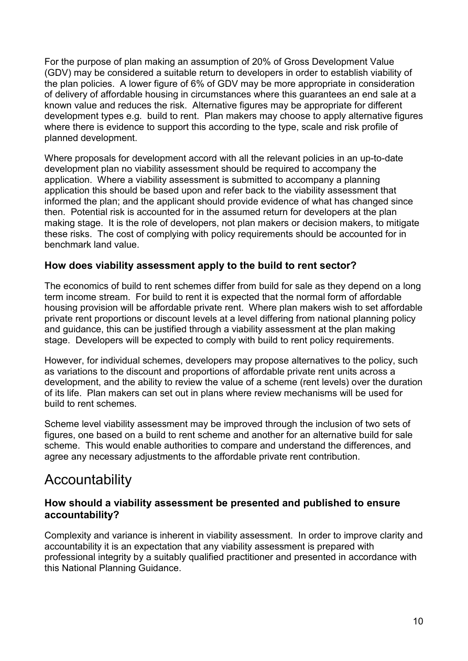For the purpose of plan making an assumption of 20% of Gross Development Value (GDV) may be considered a suitable return to developers in order to establish viability of the plan policies. A lower figure of 6% of GDV may be more appropriate in consideration of delivery of affordable housing in circumstances where this guarantees an end sale at a known value and reduces the risk. Alternative figures may be appropriate for different development types e.g. build to rent. Plan makers may choose to apply alternative figures where there is evidence to support this according to the type, scale and risk profile of planned development.

Where proposals for development accord with all the relevant policies in an up-to-date development plan no viability assessment should be required to accompany the application. Where a viability assessment is submitted to accompany a planning application this should be based upon and refer back to the viability assessment that informed the plan; and the applicant should provide evidence of what has changed since then. Potential risk is accounted for in the assumed return for developers at the plan making stage. It is the role of developers, not plan makers or decision makers, to mitigate these risks. The cost of complying with policy requirements should be accounted for in benchmark land value.

# **How does viability assessment apply to the build to rent sector?**

The economics of build to rent schemes differ from build for sale as they depend on a long term income stream. For build to rent it is expected that the normal form of affordable housing provision will be affordable private rent. Where plan makers wish to set affordable private rent proportions or discount levels at a level differing from national planning policy and guidance, this can be justified through a viability assessment at the plan making stage. Developers will be expected to comply with build to rent policy requirements.

However, for individual schemes, developers may propose alternatives to the policy, such as variations to the discount and proportions of affordable private rent units across a development, and the ability to review the value of a scheme (rent levels) over the duration of its life. Plan makers can set out in plans where review mechanisms will be used for build to rent schemes.

Scheme level viability assessment may be improved through the inclusion of two sets of figures, one based on a build to rent scheme and another for an alternative build for sale scheme. This would enable authorities to compare and understand the differences, and agree any necessary adjustments to the affordable private rent contribution.

# Accountability

# **How should a viability assessment be presented and published to ensure accountability?**

Complexity and variance is inherent in viability assessment. In order to improve clarity and accountability it is an expectation that any viability assessment is prepared with professional integrity by a suitably qualified practitioner and presented in accordance with this National Planning Guidance.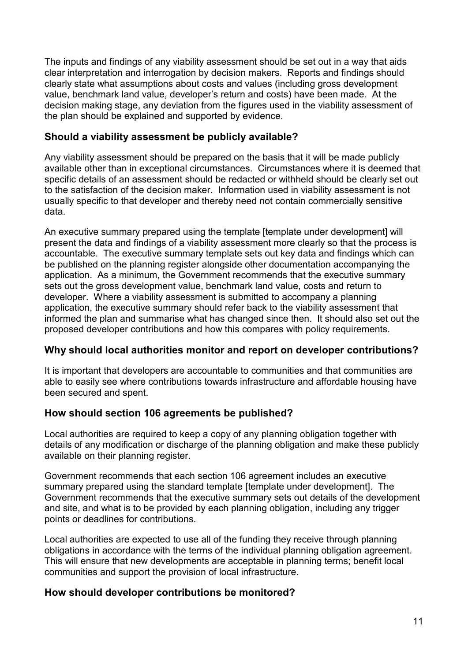The inputs and findings of any viability assessment should be set out in a way that aids clear interpretation and interrogation by decision makers. Reports and findings should clearly state what assumptions about costs and values (including gross development value, benchmark land value, developer's return and costs) have been made. At the decision making stage, any deviation from the figures used in the viability assessment of the plan should be explained and supported by evidence.

# **Should a viability assessment be publicly available?**

Any viability assessment should be prepared on the basis that it will be made publicly available other than in exceptional circumstances. Circumstances where it is deemed that specific details of an assessment should be redacted or withheld should be clearly set out to the satisfaction of the decision maker. Information used in viability assessment is not usually specific to that developer and thereby need not contain commercially sensitive data.

An executive summary prepared using the template [template under development] will present the data and findings of a viability assessment more clearly so that the process is accountable. The executive summary template sets out key data and findings which can be published on the planning register alongside other documentation accompanying the application. As a minimum, the Government recommends that the executive summary sets out the gross development value, benchmark land value, costs and return to developer. Where a viability assessment is submitted to accompany a planning application, the executive summary should refer back to the viability assessment that informed the plan and summarise what has changed since then. It should also set out the proposed developer contributions and how this compares with policy requirements.

# **Why should local authorities monitor and report on developer contributions?**

It is important that developers are accountable to communities and that communities are able to easily see where contributions towards infrastructure and affordable housing have been secured and spent.

#### **How should section 106 agreements be published?**

Local authorities are required to keep a copy of any planning obligation together with details of any modification or discharge of the planning obligation and make these publicly available on their planning register.

Government recommends that each section 106 agreement includes an executive summary prepared using the standard template [template under development]. The Government recommends that the executive summary sets out details of the development and site, and what is to be provided by each planning obligation, including any trigger points or deadlines for contributions.

Local authorities are expected to use all of the funding they receive through planning obligations in accordance with the terms of the individual planning obligation agreement. This will ensure that new developments are acceptable in planning terms; benefit local communities and support the provision of local infrastructure.

#### **How should developer contributions be monitored?**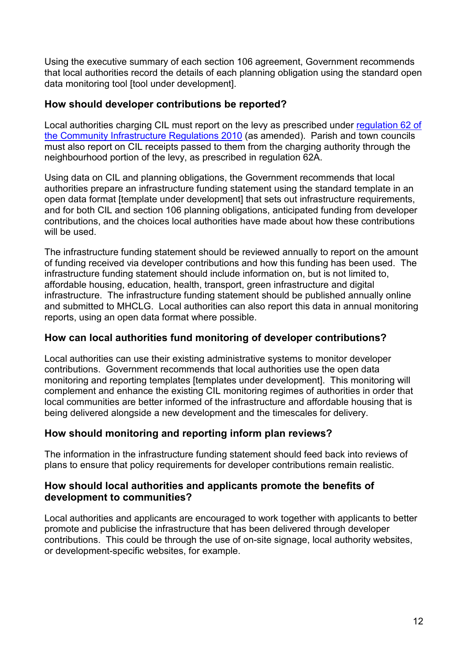Using the executive summary of each section 106 agreement, Government recommends that local authorities record the details of each planning obligation using the standard open data monitoring tool [tool under development].

# **How should developer contributions be reported?**

Local authorities charging CIL must report on the levy as prescribed under [regulation 62 of](http://www.legislation.gov.uk/uksi/2010/948/regulation/62/made)  [the Community Infrastructure Regulations 2010](http://www.legislation.gov.uk/uksi/2010/948/regulation/62/made) (as amended). Parish and town councils must also report on CIL receipts passed to them from the charging authority through the neighbourhood portion of the levy, as prescribed in regulation 62A.

Using data on CIL and planning obligations, the Government recommends that local authorities prepare an infrastructure funding statement using the standard template in an open data format [template under development] that sets out infrastructure requirements, and for both CIL and section 106 planning obligations, anticipated funding from developer contributions, and the choices local authorities have made about how these contributions will be used.

The infrastructure funding statement should be reviewed annually to report on the amount of funding received via developer contributions and how this funding has been used. The infrastructure funding statement should include information on, but is not limited to, affordable housing, education, health, transport, green infrastructure and digital infrastructure. The infrastructure funding statement should be published annually online and submitted to MHCLG. Local authorities can also report this data in annual monitoring reports, using an open data format where possible.

# **How can local authorities fund monitoring of developer contributions?**

Local authorities can use their existing administrative systems to monitor developer contributions. Government recommends that local authorities use the open data monitoring and reporting templates [templates under development]. This monitoring will complement and enhance the existing CIL monitoring regimes of authorities in order that local communities are better informed of the infrastructure and affordable housing that is being delivered alongside a new development and the timescales for delivery.

#### **How should monitoring and reporting inform plan reviews?**

The information in the infrastructure funding statement should feed back into reviews of plans to ensure that policy requirements for developer contributions remain realistic.

#### **How should local authorities and applicants promote the benefits of development to communities?**

Local authorities and applicants are encouraged to work together with applicants to better promote and publicise the infrastructure that has been delivered through developer contributions. This could be through the use of on-site signage, local authority websites, or development-specific websites, for example.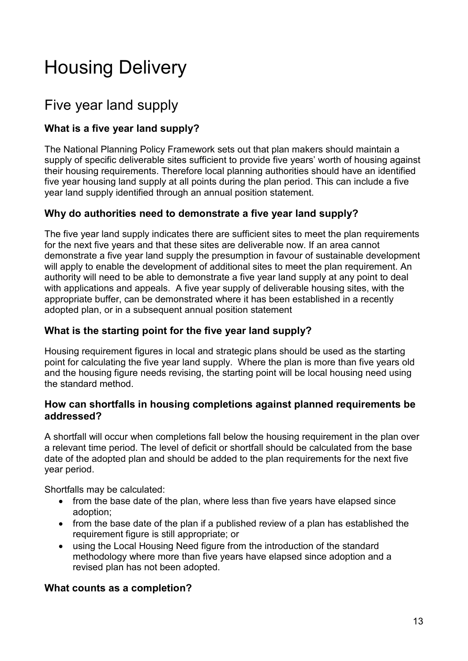# <span id="page-12-0"></span>Housing Delivery

# Five year land supply

# **What is a five year land supply?**

The National Planning Policy Framework sets out that plan makers should maintain a supply of specific deliverable sites sufficient to provide five years' worth of housing against their housing requirements. Therefore local planning authorities should have an identified five year housing land supply at all points during the plan period. This can include a five year land supply identified through an annual position statement.

# **Why do authorities need to demonstrate a five year land supply?**

The five year land supply indicates there are sufficient sites to meet the plan requirements for the next five years and that these sites are deliverable now. If an area cannot demonstrate a five year land supply the presumption in favour of sustainable development will apply to enable the development of additional sites to meet the plan requirement. An authority will need to be able to demonstrate a five year land supply at any point to deal with applications and appeals. A five year supply of deliverable housing sites, with the appropriate buffer, can be demonstrated where it has been established in a recently adopted plan, or in a subsequent annual position statement

# **What is the starting point for the five year land supply?**

Housing requirement figures in local and strategic plans should be used as the starting point for calculating the five year land supply. Where the plan is more than five years old and the housing figure needs revising, the starting point will be local housing need using the standard method.

#### **How can shortfalls in housing completions against planned requirements be addressed?**

A shortfall will occur when completions fall below the housing requirement in the plan over a relevant time period. The level of deficit or shortfall should be calculated from the base date of the adopted plan and should be added to the plan requirements for the next five year period.

Shortfalls may be calculated:

- from the base date of the plan, where less than five years have elapsed since adoption;
- from the base date of the plan if a published review of a plan has established the requirement figure is still appropriate; or
- using the Local Housing Need figure from the introduction of the standard methodology where more than five years have elapsed since adoption and a revised plan has not been adopted.

#### **What counts as a completion?**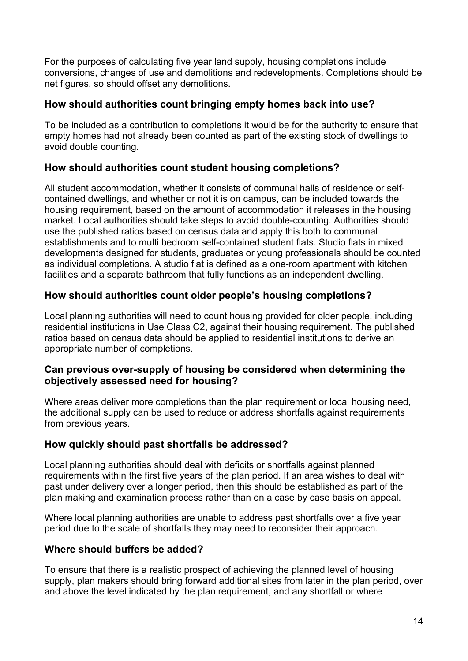For the purposes of calculating five year land supply, housing completions include conversions, changes of use and demolitions and redevelopments. Completions should be net figures, so should offset any demolitions.

#### **How should authorities count bringing empty homes back into use?**

To be included as a contribution to completions it would be for the authority to ensure that empty homes had not already been counted as part of the existing stock of dwellings to avoid double counting.

# **How should authorities count student housing completions?**

All student accommodation, whether it consists of communal halls of residence or selfcontained dwellings, and whether or not it is on campus, can be included towards the housing requirement, based on the amount of accommodation it releases in the housing market. Local authorities should take steps to avoid double-counting. Authorities should use the published ratios based on census data and apply this both to communal establishments and to multi bedroom self-contained student flats. Studio flats in mixed developments designed for students, graduates or young professionals should be counted as individual completions. A studio flat is defined as a one-room apartment with kitchen facilities and a separate bathroom that fully functions as an independent dwelling.

# **How should authorities count older people's housing completions?**

Local planning authorities will need to count housing provided for older people, including residential institutions in Use Class C2, against their housing requirement. The published ratios based on census data should be applied to residential institutions to derive an appropriate number of completions.

# **Can previous over-supply of housing be considered when determining the objectively assessed need for housing?**

Where areas deliver more completions than the plan requirement or local housing need. the additional supply can be used to reduce or address shortfalls against requirements from previous years.

# **How quickly should past shortfalls be addressed?**

Local planning authorities should deal with deficits or shortfalls against planned requirements within the first five years of the plan period. If an area wishes to deal with past under delivery over a longer period, then this should be established as part of the plan making and examination process rather than on a case by case basis on appeal.

Where local planning authorities are unable to address past shortfalls over a five year period due to the scale of shortfalls they may need to reconsider their approach.

# **Where should buffers be added?**

To ensure that there is a realistic prospect of achieving the planned level of housing supply, plan makers should bring forward additional sites from later in the plan period, over and above the level indicated by the plan requirement, and any shortfall or where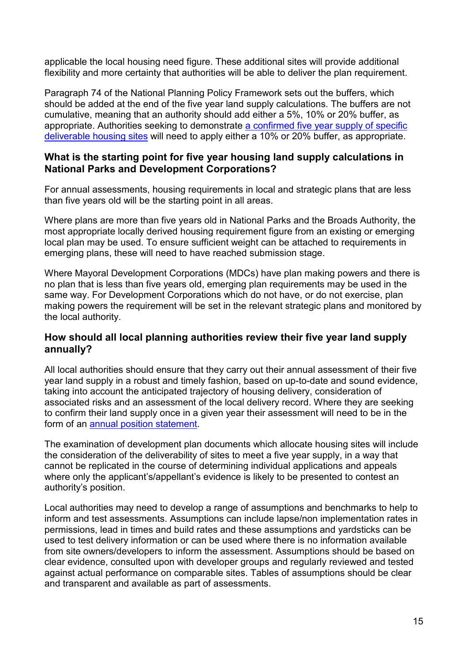applicable the local housing need figure. These additional sites will provide additional flexibility and more certainty that authorities will be able to deliver the plan requirement.

Paragraph 74 of the National Planning Policy Framework sets out the buffers, which should be added at the end of the five year land supply calculations. The buffers are not cumulative, meaning that an authority should add either a 5%, 10% or 20% buffer, as appropriate. Authorities seeking to demonstrate a confirmed five [year supply of specific](#page-15-0)  [deliverable housing sites](#page-15-0) will need to apply either a 10% or 20% buffer, as appropriate.

#### **What is the starting point for five year housing land supply calculations in National Parks and Development Corporations?**

For annual assessments, housing requirements in local and strategic plans that are less than five years old will be the starting point in all areas.

Where plans are more than five years old in National Parks and the Broads Authority, the most appropriate locally derived housing requirement figure from an existing or emerging local plan may be used. To ensure sufficient weight can be attached to requirements in emerging plans, these will need to have reached submission stage.

Where Mayoral Development Corporations (MDCs) have plan making powers and there is no plan that is less than five years old, emerging plan requirements may be used in the same way. For Development Corporations which do not have, or do not exercise, plan making powers the requirement will be set in the relevant strategic plans and monitored by the local authority.

#### **How should all local planning authorities review their five year land supply annually?**

All local authorities should ensure that they carry out their annual assessment of their five year land supply in a robust and timely fashion, based on up-to-date and sound evidence, taking into account the anticipated trajectory of housing delivery, consideration of associated risks and an assessment of the local delivery record. Where they are seeking to confirm their land supply once in a given year their assessment will need to be in the form of an [annual position statement.](#page-17-0)

The examination of development plan documents which allocate housing sites will include the consideration of the deliverability of sites to meet a five year supply, in a way that cannot be replicated in the course of determining individual applications and appeals where only the applicant's/appellant's evidence is likely to be presented to contest an authority's position.

Local authorities may need to develop a range of assumptions and benchmarks to help to inform and test assessments. Assumptions can include lapse/non implementation rates in permissions, lead in times and build rates and these assumptions and yardsticks can be used to test delivery information or can be used where there is no information available from site owners/developers to inform the assessment. Assumptions should be based on clear evidence, consulted upon with developer groups and regularly reviewed and tested against actual performance on comparable sites. Tables of assumptions should be clear and transparent and available as part of assessments.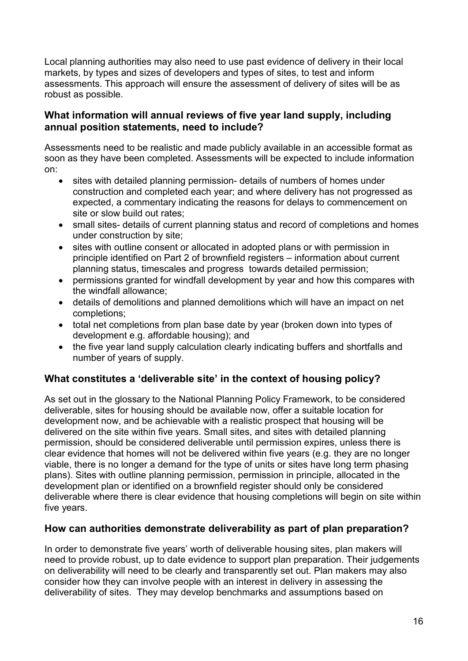Local planning authorities may also need to use past evidence of delivery in their local markets, by types and sizes of developers and types of sites, to test and inform assessments. This approach will ensure the assessment of delivery of sites will be as robust as possible.

# <span id="page-15-0"></span>**What information will annual reviews of five year land supply, including annual position statements, need to include?**

Assessments need to be realistic and made publicly available in an accessible format as soon as they have been completed. Assessments will be expected to include information on:

- sites with detailed planning permission- details of numbers of homes under construction and completed each year; and where delivery has not progressed as expected, a commentary indicating the reasons for delays to commencement on site or slow build out rates;
- small sites- details of current planning status and record of completions and homes under construction by site;
- sites with outline consent or allocated in adopted plans or with permission in principle identified on Part 2 of brownfield registers – information about current planning status, timescales and progress towards detailed permission;
- permissions granted for windfall development by year and how this compares with the windfall allowance;
- details of demolitions and planned demolitions which will have an impact on net completions;
- total net completions from plan base date by year (broken down into types of development e.g. affordable housing); and
- the five year land supply calculation clearly indicating buffers and shortfalls and number of years of supply.

# **What constitutes a 'deliverable site' in the context of housing policy?**

As set out in the glossary to the National Planning Policy Framework, to be considered deliverable, sites for housing should be available now, offer a suitable location for development now, and be achievable with a realistic prospect that housing will be delivered on the site within five years. Small sites, and sites with detailed planning permission, should be considered deliverable until permission expires, unless there is clear evidence that homes will not be delivered within five years (e.g. they are no longer viable, there is no longer a demand for the type of units or sites have long term phasing plans). Sites with outline planning permission, permission in principle, allocated in the development plan or identified on a brownfield register should only be considered deliverable where there is clear evidence that housing completions will begin on site within five years.

#### **How can authorities demonstrate deliverability as part of plan preparation?**

In order to demonstrate five years' worth of deliverable housing sites, plan makers will need to provide robust, up to date evidence to support plan preparation. Their judgements on deliverability will need to be clearly and transparently set out. Plan makers may also consider how they can involve people with an interest in delivery in assessing the deliverability of sites. They may develop benchmarks and assumptions based on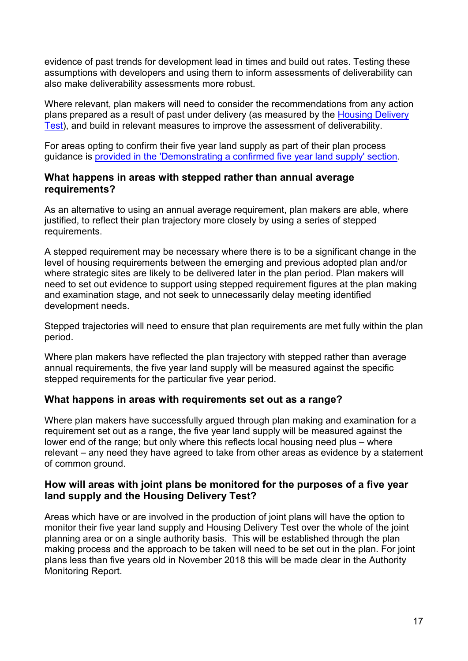evidence of past trends for development lead in times and build out rates. Testing these assumptions with developers and using them to inform assessments of deliverability can also make deliverability assessments more robust.

Where relevant, plan makers will need to consider the recommendations from any action plans prepared as a result of past under delivery (as measured by the [Housing Delivery](#page-19-0)  [Test\)](#page-19-0), and build in relevant measures to improve the assessment of deliverability.

For areas opting to confirm their five year land supply as part of their plan process guidance is [provided in the 'Demonstrating a confirmed five year land supply' section.](#page-17-0)

#### **What happens in areas with stepped rather than annual average requirements?**

As an alternative to using an annual average requirement, plan makers are able, where justified, to reflect their plan trajectory more closely by using a series of stepped requirements.

A stepped requirement may be necessary where there is to be a significant change in the level of housing requirements between the emerging and previous adopted plan and/or where strategic sites are likely to be delivered later in the plan period. Plan makers will need to set out evidence to support using stepped requirement figures at the plan making and examination stage, and not seek to unnecessarily delay meeting identified development needs.

Stepped trajectories will need to ensure that plan requirements are met fully within the plan period.

Where plan makers have reflected the plan trajectory with stepped rather than average annual requirements, the five year land supply will be measured against the specific stepped requirements for the particular five year period.

# **What happens in areas with requirements set out as a range?**

Where plan makers have successfully argued through plan making and examination for a requirement set out as a range, the five year land supply will be measured against the lower end of the range; but only where this reflects local housing need plus – where relevant – any need they have agreed to take from other areas as evidence by a statement of common ground.

# **How will areas with joint plans be monitored for the purposes of a five year land supply and the Housing Delivery Test?**

Areas which have or are involved in the production of joint plans will have the option to monitor their five year land supply and Housing Delivery Test over the whole of the joint planning area or on a single authority basis. This will be established through the plan making process and the approach to be taken will need to be set out in the plan. For joint plans less than five years old in November 2018 this will be made clear in the Authority Monitoring Report.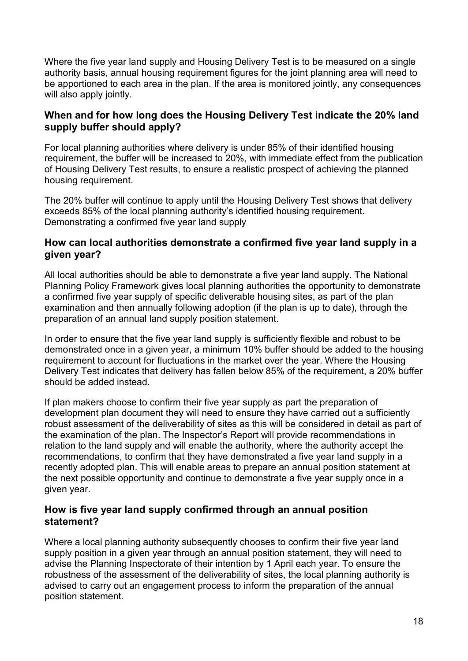Where the five year land supply and Housing Delivery Test is to be measured on a single authority basis, annual housing requirement figures for the joint planning area will need to be apportioned to each area in the plan. If the area is monitored jointly, any consequences will also apply jointly.

# **When and for how long does the Housing Delivery Test indicate the 20% land supply buffer should apply?**

For local planning authorities where delivery is under 85% of their identified housing requirement, the buffer will be increased to 20%, with immediate effect from the publication of Housing Delivery Test results, to ensure a realistic prospect of achieving the planned housing requirement.

The 20% buffer will continue to apply until the Housing Delivery Test shows that delivery exceeds 85% of the local planning authority's identified housing requirement. Demonstrating a confirmed five year land supply

# **How can local authorities demonstrate a confirmed five year land supply in a given year?**

All local authorities should be able to demonstrate a five year land supply. The National Planning Policy Framework gives local planning authorities the opportunity to demonstrate a confirmed five year supply of specific deliverable housing sites, as part of the plan examination and then annually following adoption (if the plan is up to date), through the preparation of an annual land supply position statement.

In order to ensure that the five year land supply is sufficiently flexible and robust to be demonstrated once in a given year, a minimum 10% buffer should be added to the housing requirement to account for fluctuations in the market over the year. Where the Housing Delivery Test indicates that delivery has fallen below 85% of the requirement, a 20% buffer should be added instead.

If plan makers choose to confirm their five year supply as part the preparation of development plan document they will need to ensure they have carried out a sufficiently robust assessment of the deliverability of sites as this will be considered in detail as part of the examination of the plan. The Inspector's Report will provide recommendations in relation to the land supply and will enable the authority, where the authority accept the recommendations, to confirm that they have demonstrated a five year land supply in a recently adopted plan. This will enable areas to prepare an annual position statement at the next possible opportunity and continue to demonstrate a five year supply once in a given year.

# <span id="page-17-0"></span>**How is five year land supply confirmed through an annual position statement?**

Where a local planning authority subsequently chooses to confirm their five year land supply position in a given year through an annual position statement, they will need to advise the Planning Inspectorate of their intention by 1 April each year. To ensure the robustness of the assessment of the deliverability of sites, the local planning authority is advised to carry out an engagement process to inform the preparation of the annual position statement.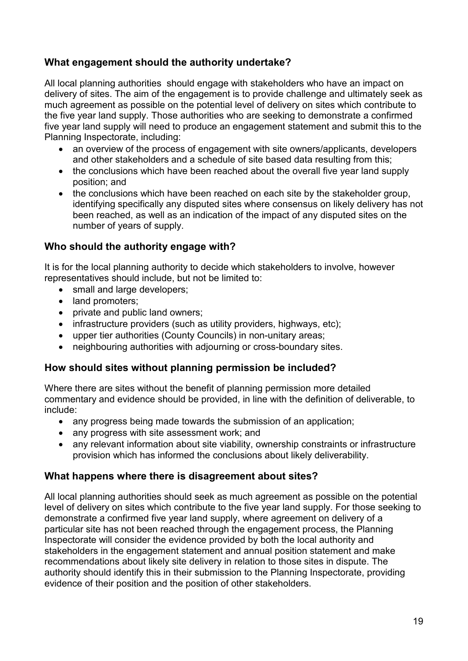# **What engagement should the authority undertake?**

All local planning authorities should engage with stakeholders who have an impact on delivery of sites. The aim of the engagement is to provide challenge and ultimately seek as much agreement as possible on the potential level of delivery on sites which contribute to the five year land supply. Those authorities who are seeking to demonstrate a confirmed five year land supply will need to produce an engagement statement and submit this to the Planning Inspectorate, including:

- an overview of the process of engagement with site owners/applicants, developers and other stakeholders and a schedule of site based data resulting from this;
- the conclusions which have been reached about the overall five year land supply position; and
- the conclusions which have been reached on each site by the stakeholder group, identifying specifically any disputed sites where consensus on likely delivery has not been reached, as well as an indication of the impact of any disputed sites on the number of years of supply.

# **Who should the authority engage with?**

It is for the local planning authority to decide which stakeholders to involve, however representatives should include, but not be limited to:

- small and large developers:
- land promoters;
- private and public land owners;
- infrastructure providers (such as utility providers, highways, etc);
- upper tier authorities (County Councils) in non-unitary areas;
- neighbouring authorities with adjourning or cross-boundary sites.

# **How should sites without planning permission be included?**

Where there are sites without the benefit of planning permission more detailed commentary and evidence should be provided, in line with the definition of deliverable, to include:

- any progress being made towards the submission of an application;
- any progress with site assessment work; and
- any relevant information about site viability, ownership constraints or infrastructure provision which has informed the conclusions about likely deliverability.

# **What happens where there is disagreement about sites?**

All local planning authorities should seek as much agreement as possible on the potential level of delivery on sites which contribute to the five year land supply. For those seeking to demonstrate a confirmed five year land supply, where agreement on delivery of a particular site has not been reached through the engagement process, the Planning Inspectorate will consider the evidence provided by both the local authority and stakeholders in the engagement statement and annual position statement and make recommendations about likely site delivery in relation to those sites in dispute. The authority should identify this in their submission to the Planning Inspectorate, providing evidence of their position and the position of other stakeholders.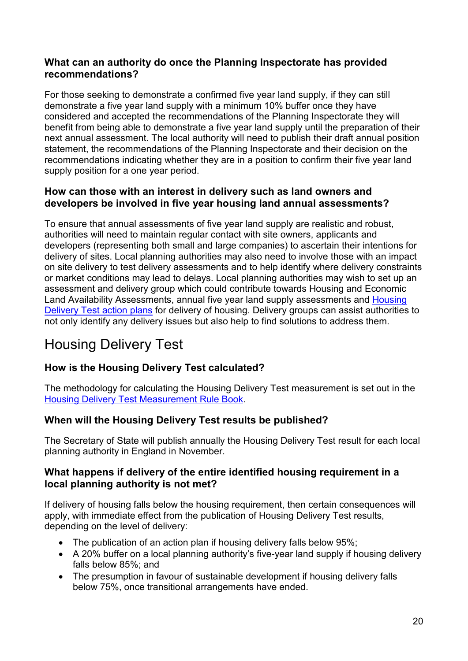# **What can an authority do once the Planning Inspectorate has provided recommendations?**

For those seeking to demonstrate a confirmed five year land supply, if they can still demonstrate a five year land supply with a minimum 10% buffer once they have considered and accepted the recommendations of the Planning Inspectorate they will benefit from being able to demonstrate a five year land supply until the preparation of their next annual assessment. The local authority will need to publish their draft annual position statement, the recommendations of the Planning Inspectorate and their decision on the recommendations indicating whether they are in a position to confirm their five year land supply position for a one year period.

# **How can those with an interest in delivery such as land owners and developers be involved in five year housing land annual assessments?**

To ensure that annual assessments of five year land supply are realistic and robust, authorities will need to maintain regular contact with site owners, applicants and developers (representing both small and large companies) to ascertain their intentions for delivery of sites. Local planning authorities may also need to involve those with an impact on site delivery to test delivery assessments and to help identify where delivery constraints or market conditions may lead to delays. Local planning authorities may wish to set up an assessment and delivery group which could contribute towards Housing and Economic Land Availability Assessments, annual five year land supply assessments and [Housing](#page-20-0)  [Delivery Test action plans](#page-20-0) for delivery of housing. Delivery groups can assist authorities to not only identify any delivery issues but also help to find solutions to address them.

# <span id="page-19-0"></span>Housing Delivery Test

# **How is the Housing Delivery Test calculated?**

The methodology for calculating the Housing Delivery Test measurement is set out in the **[Housing Delivery Test Measurement Rule Book.](https://www.gov.uk/government/uploads/system/uploads/attachment_data/file/685292/Housing_Delivery_Test_Measurement_Rule_Book.pdf)** 

# **When will the Housing Delivery Test results be published?**

The Secretary of State will publish annually the Housing Delivery Test result for each local planning authority in England in November.

# **What happens if delivery of the entire identified housing requirement in a local planning authority is not met?**

If delivery of housing falls below the housing requirement, then certain consequences will apply, with immediate effect from the publication of Housing Delivery Test results, depending on the level of delivery:

- The publication of an action plan if housing delivery falls below 95%;
- A 20% buffer on a local planning authority's five-year land supply if housing delivery falls below 85%; and
- The presumption in favour of sustainable development if housing delivery falls below 75%, once transitional arrangements have ended.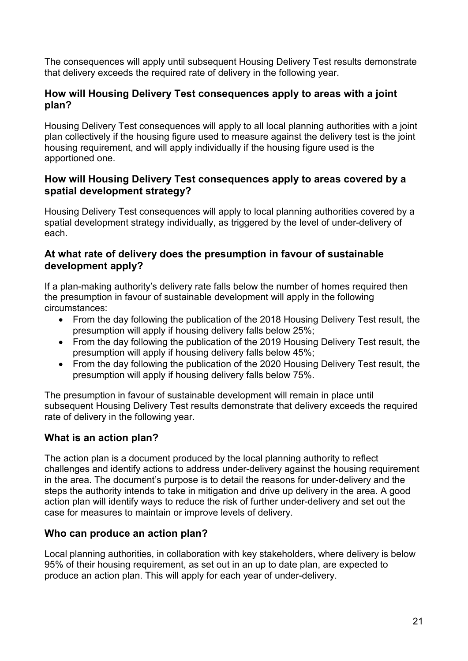The consequences will apply until subsequent Housing Delivery Test results demonstrate that delivery exceeds the required rate of delivery in the following year.

# **How will Housing Delivery Test consequences apply to areas with a joint plan?**

Housing Delivery Test consequences will apply to all local planning authorities with a joint plan collectively if the housing figure used to measure against the delivery test is the joint housing requirement, and will apply individually if the housing figure used is the apportioned one.

# **How will Housing Delivery Test consequences apply to areas covered by a spatial development strategy?**

Housing Delivery Test consequences will apply to local planning authorities covered by a spatial development strategy individually, as triggered by the level of under-delivery of each.

# **At what rate of delivery does the presumption in favour of sustainable development apply?**

If a plan-making authority's delivery rate falls below the number of homes required then the presumption in favour of sustainable development will apply in the following circumstances:

- From the day following the publication of the 2018 Housing Delivery Test result, the presumption will apply if housing delivery falls below 25%;
- From the day following the publication of the 2019 Housing Delivery Test result, the presumption will apply if housing delivery falls below 45%;
- From the day following the publication of the 2020 Housing Delivery Test result, the presumption will apply if housing delivery falls below 75%.

The presumption in favour of sustainable development will remain in place until subsequent Housing Delivery Test results demonstrate that delivery exceeds the required rate of delivery in the following year.

# <span id="page-20-0"></span>**What is an action plan?**

The action plan is a document produced by the local planning authority to reflect challenges and identify actions to address under-delivery against the housing requirement in the area. The document's purpose is to detail the reasons for under-delivery and the steps the authority intends to take in mitigation and drive up delivery in the area. A good action plan will identify ways to reduce the risk of further under-delivery and set out the case for measures to maintain or improve levels of delivery.

# **Who can produce an action plan?**

Local planning authorities, in collaboration with key stakeholders, where delivery is below 95% of their housing requirement, as set out in an up to date plan, are expected to produce an action plan. This will apply for each year of under-delivery.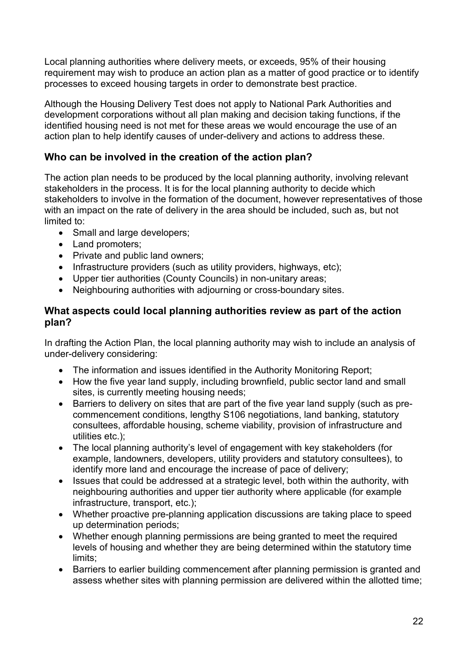Local planning authorities where delivery meets, or exceeds, 95% of their housing requirement may wish to produce an action plan as a matter of good practice or to identify processes to exceed housing targets in order to demonstrate best practice.

Although the Housing Delivery Test does not apply to National Park Authorities and development corporations without all plan making and decision taking functions, if the identified housing need is not met for these areas we would encourage the use of an action plan to help identify causes of under-delivery and actions to address these.

# **Who can be involved in the creation of the action plan?**

The action plan needs to be produced by the local planning authority, involving relevant stakeholders in the process. It is for the local planning authority to decide which stakeholders to involve in the formation of the document, however representatives of those with an impact on the rate of delivery in the area should be included, such as, but not limited to:

- Small and large developers;
- Land promoters:
- Private and public land owners;
- Infrastructure providers (such as utility providers, highways, etc);
- Upper tier authorities (County Councils) in non-unitary areas;
- Neighbouring authorities with adjourning or cross-boundary sites.

#### **What aspects could local planning authorities review as part of the action plan?**

In drafting the Action Plan, the local planning authority may wish to include an analysis of under-delivery considering:

- The information and issues identified in the Authority Monitoring Report;
- How the five year land supply, including brownfield, public sector land and small sites, is currently meeting housing needs;
- Barriers to delivery on sites that are part of the five year land supply (such as precommencement conditions, lengthy S106 negotiations, land banking, statutory consultees, affordable housing, scheme viability, provision of infrastructure and utilities etc.);
- The local planning authority's level of engagement with key stakeholders (for example, landowners, developers, utility providers and statutory consultees), to identify more land and encourage the increase of pace of delivery;
- Issues that could be addressed at a strategic level, both within the authority, with neighbouring authorities and upper tier authority where applicable (for example infrastructure, transport, etc.);
- Whether proactive pre-planning application discussions are taking place to speed up determination periods;
- Whether enough planning permissions are being granted to meet the required levels of housing and whether they are being determined within the statutory time limits;
- Barriers to earlier building commencement after planning permission is granted and assess whether sites with planning permission are delivered within the allotted time;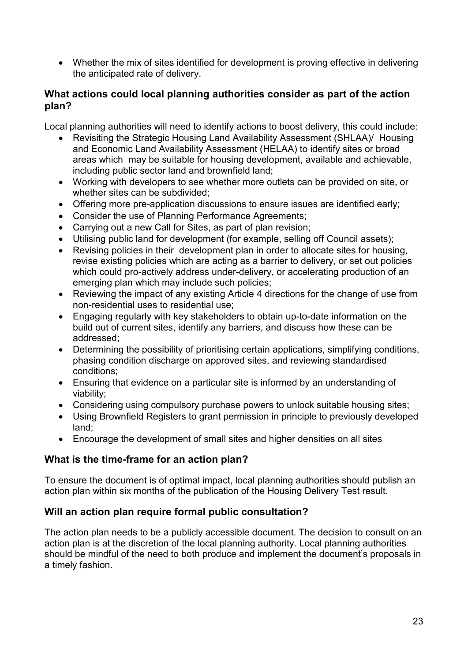• Whether the mix of sites identified for development is proving effective in delivering the anticipated rate of delivery.

# **What actions could local planning authorities consider as part of the action plan?**

Local planning authorities will need to identify actions to boost delivery, this could include:

- Revisiting the Strategic Housing Land Availability Assessment (SHLAA)/ Housing and Economic Land Availability Assessment (HELAA) to identify sites or broad areas which may be suitable for housing development, available and achievable, including public sector land and brownfield land;
- Working with developers to see whether more outlets can be provided on site, or whether sites can be subdivided;
- Offering more pre-application discussions to ensure issues are identified early;
- Consider the use of Planning Performance Agreements;
- Carrying out a new Call for Sites, as part of plan revision;
- Utilising public land for development (for example, selling off Council assets);
- Revising policies in their development plan in order to allocate sites for housing, revise existing policies which are acting as a barrier to delivery, or set out policies which could pro-actively address under-delivery, or accelerating production of an emerging plan which may include such policies;
- Reviewing the impact of any existing Article 4 directions for the change of use from non-residential uses to residential use;
- Engaging regularly with key stakeholders to obtain up-to-date information on the build out of current sites, identify any barriers, and discuss how these can be addressed;
- Determining the possibility of prioritising certain applications, simplifying conditions, phasing condition discharge on approved sites, and reviewing standardised conditions;
- Ensuring that evidence on a particular site is informed by an understanding of viability;
- Considering using compulsory purchase powers to unlock suitable housing sites;
- Using Brownfield Registers to grant permission in principle to previously developed land;
- Encourage the development of small sites and higher densities on all sites

# **What is the time-frame for an action plan?**

To ensure the document is of optimal impact, local planning authorities should publish an action plan within six months of the publication of the Housing Delivery Test result.

# **Will an action plan require formal public consultation?**

The action plan needs to be a publicly accessible document. The decision to consult on an action plan is at the discretion of the local planning authority. Local planning authorities should be mindful of the need to both produce and implement the document's proposals in a timely fashion.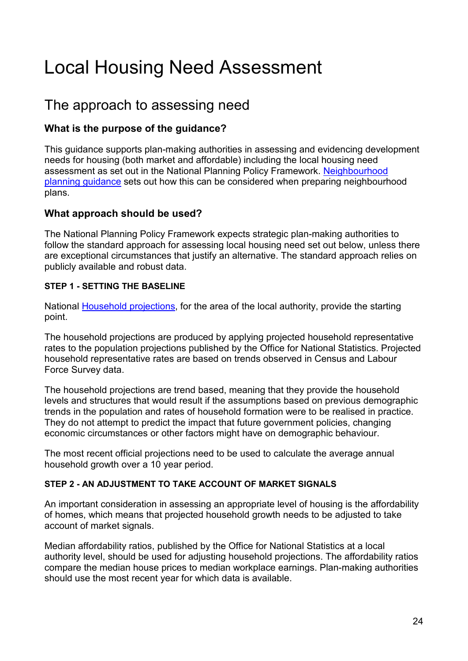# <span id="page-23-0"></span>Local Housing Need Assessment

# The approach to assessing need

# **What is the purpose of the guidance?**

This guidance supports plan-making authorities in assessing and evidencing development needs for housing (both market and affordable) including the local housing need assessment as set out in the National Planning Policy Framework. [Neighbourhood](https://www.gov.uk/guidance/neighbourhood-planning--2)  [planning guidance](https://www.gov.uk/guidance/neighbourhood-planning--2) sets out how this can be considered when preparing neighbourhood plans.

# **What approach should be used?**

The National Planning Policy Framework expects strategic plan-making authorities to follow the standard approach for assessing local housing need set out below, unless there are exceptional circumstances that justify an alternative. The standard approach relies on publicly available and robust data.

#### **STEP 1 - SETTING THE BASELINE**

National [Household projections,](https://www.gov.uk/government/collections/household-projections) for the area of the local authority, provide the starting point.

The household projections are produced by applying projected household representative rates to the population projections published by the Office for National Statistics. Projected household representative rates are based on trends observed in Census and Labour Force Survey data.

The household projections are trend based, meaning that they provide the household levels and structures that would result if the assumptions based on previous demographic trends in the population and rates of household formation were to be realised in practice. They do not attempt to predict the impact that future government policies, changing economic circumstances or other factors might have on demographic behaviour.

The most recent official projections need to be used to calculate the average annual household growth over a 10 year period.

#### **STEP 2 - AN ADJUSTMENT TO TAKE ACCOUNT OF MARKET SIGNALS**

An important consideration in assessing an appropriate level of housing is the affordability of homes, which means that projected household growth needs to be adjusted to take account of market signals.

Median affordability ratios, published by the Office for National Statistics at a local authority level, should be used for adjusting household projections. The affordability ratios compare the median house prices to median workplace earnings. Plan-making authorities should use the most recent year for which data is available.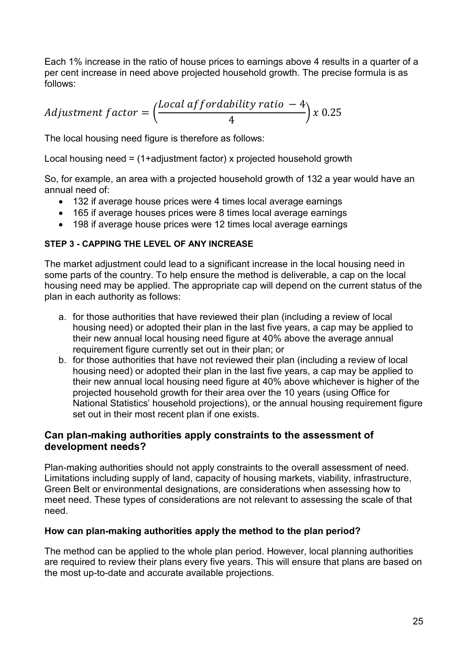Each 1% increase in the ratio of house prices to earnings above 4 results in a quarter of a per cent increase in need above projected household growth. The precise formula is as follows:

$$
Adjustment factor = \left(\frac{Local\;affordability\; ratio\; -4}{4}\right)x\;0.25
$$

The local housing need figure is therefore as follows:

Local housing need = (1+adjustment factor) x projected household growth

So, for example, an area with a projected household growth of 132 a year would have an annual need of:

- 132 if average house prices were 4 times local average earnings
- 165 if average houses prices were 8 times local average earnings
- 198 if average house prices were 12 times local average earnings

#### **STEP 3 - CAPPING THE LEVEL OF ANY INCREASE**

The market adjustment could lead to a significant increase in the local housing need in some parts of the country. To help ensure the method is deliverable, a cap on the local housing need may be applied. The appropriate cap will depend on the current status of the plan in each authority as follows:

- a. for those authorities that have reviewed their plan (including a review of local housing need) or adopted their plan in the last five years, a cap may be applied to their new annual local housing need figure at 40% above the average annual requirement figure currently set out in their plan; or
- b. for those authorities that have not reviewed their plan (including a review of local housing need) or adopted their plan in the last five years, a cap may be applied to their new annual local housing need figure at 40% above whichever is higher of the projected household growth for their area over the 10 years (using Office for National Statistics' household projections), or the annual housing requirement figure set out in their most recent plan if one exists.

# **Can plan-making authorities apply constraints to the assessment of development needs?**

Plan-making authorities should not apply constraints to the overall assessment of need. Limitations including supply of land, capacity of housing markets, viability, infrastructure, Green Belt or environmental designations, are considerations when assessing how to meet need. These types of considerations are not relevant to assessing the scale of that need.

#### **How can plan-making authorities apply the method to the plan period?**

The method can be applied to the whole plan period. However, local planning authorities are required to review their plans every five years. This will ensure that plans are based on the most up-to-date and accurate available projections.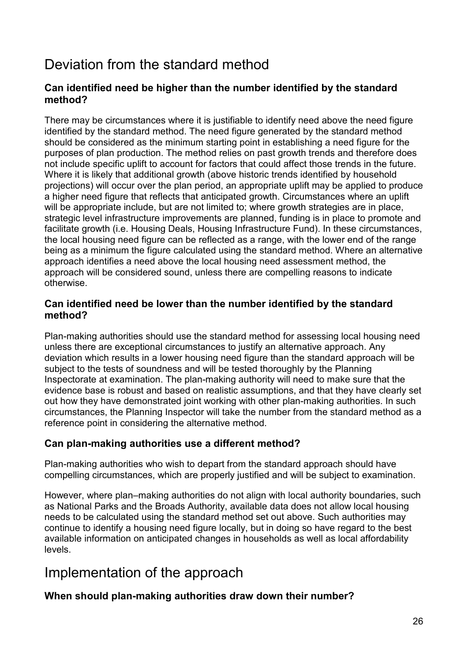# Deviation from the standard method

# **Can identified need be higher than the number identified by the standard method?**

There may be circumstances where it is justifiable to identify need above the need figure identified by the standard method. The need figure generated by the standard method should be considered as the minimum starting point in establishing a need figure for the purposes of plan production. The method relies on past growth trends and therefore does not include specific uplift to account for factors that could affect those trends in the future. Where it is likely that additional growth (above historic trends identified by household projections) will occur over the plan period, an appropriate uplift may be applied to produce a higher need figure that reflects that anticipated growth. Circumstances where an uplift will be appropriate include, but are not limited to; where growth strategies are in place, strategic level infrastructure improvements are planned, funding is in place to promote and facilitate growth (i.e. Housing Deals, Housing Infrastructure Fund). In these circumstances, the local housing need figure can be reflected as a range, with the lower end of the range being as a minimum the figure calculated using the standard method. Where an alternative approach identifies a need above the local housing need assessment method, the approach will be considered sound, unless there are compelling reasons to indicate otherwise.

#### **Can identified need be lower than the number identified by the standard method?**

Plan-making authorities should use the standard method for assessing local housing need unless there are exceptional circumstances to justify an alternative approach. Any deviation which results in a lower housing need figure than the standard approach will be subject to the tests of soundness and will be tested thoroughly by the Planning Inspectorate at examination. The plan-making authority will need to make sure that the evidence base is robust and based on realistic assumptions, and that they have clearly set out how they have demonstrated joint working with other plan-making authorities. In such circumstances, the Planning Inspector will take the number from the standard method as a reference point in considering the alternative method.

# **Can plan-making authorities use a different method?**

Plan-making authorities who wish to depart from the standard approach should have compelling circumstances, which are properly justified and will be subject to examination.

However, where plan–making authorities do not align with local authority boundaries, such as National Parks and the Broads Authority, available data does not allow local housing needs to be calculated using the standard method set out above. Such authorities may continue to identify a housing need figure locally, but in doing so have regard to the best available information on anticipated changes in households as well as local affordability levels.

# Implementation of the approach

# **When should plan-making authorities draw down their number?**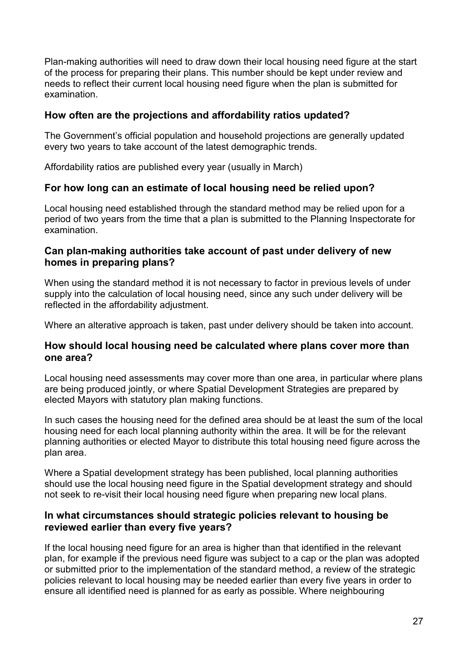Plan-making authorities will need to draw down their local housing need figure at the start of the process for preparing their plans. This number should be kept under review and needs to reflect their current local housing need figure when the plan is submitted for examination.

# **How often are the projections and affordability ratios updated?**

The Government's official population and household projections are generally updated every two years to take account of the latest demographic trends.

Affordability ratios are published every year (usually in March)

# **For how long can an estimate of local housing need be relied upon?**

Local housing need established through the standard method may be relied upon for a period of two years from the time that a plan is submitted to the Planning Inspectorate for examination.

#### **Can plan-making authorities take account of past under delivery of new homes in preparing plans?**

When using the standard method it is not necessary to factor in previous levels of under supply into the calculation of local housing need, since any such under delivery will be reflected in the affordability adjustment.

Where an alterative approach is taken, past under delivery should be taken into account.

#### **How should local housing need be calculated where plans cover more than one area?**

Local housing need assessments may cover more than one area, in particular where plans are being produced jointly, or where Spatial Development Strategies are prepared by elected Mayors with statutory plan making functions.

In such cases the housing need for the defined area should be at least the sum of the local housing need for each local planning authority within the area. It will be for the relevant planning authorities or elected Mayor to distribute this total housing need figure across the plan area.

Where a Spatial development strategy has been published, local planning authorities should use the local housing need figure in the Spatial development strategy and should not seek to re-visit their local housing need figure when preparing new local plans.

#### **In what circumstances should strategic policies relevant to housing be reviewed earlier than every five years?**

If the local housing need figure for an area is higher than that identified in the relevant plan, for example if the previous need figure was subject to a cap or the plan was adopted or submitted prior to the implementation of the standard method, a review of the strategic policies relevant to local housing may be needed earlier than every five years in order to ensure all identified need is planned for as early as possible. Where neighbouring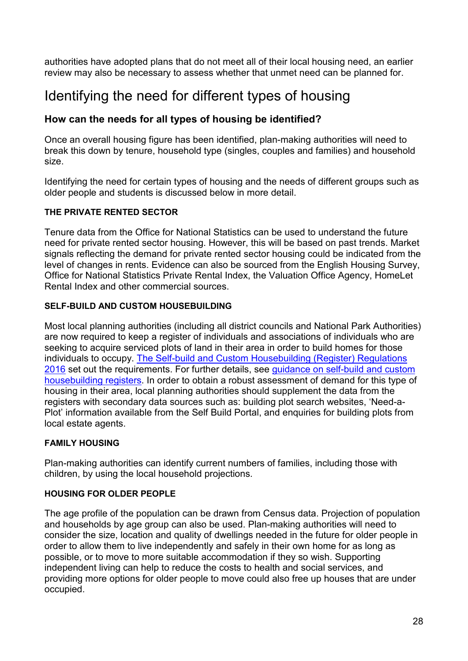authorities have adopted plans that do not meet all of their local housing need, an earlier review may also be necessary to assess whether that unmet need can be planned for.

# <span id="page-27-0"></span>Identifying the need for different types of housing

# **How can the needs for all types of housing be identified?**

Once an overall housing figure has been identified, plan-making authorities will need to break this down by tenure, household type (singles, couples and families) and household size.

Identifying the need for certain types of housing and the needs of different groups such as older people and students is discussed below in more detail.

#### **THE PRIVATE RENTED SECTOR**

Tenure data from the Office for National Statistics can be used to understand the future need for private rented sector housing. However, this will be based on past trends. Market signals reflecting the demand for private rented sector housing could be indicated from the level of changes in rents. Evidence can also be sourced from the English Housing Survey, Office for National Statistics Private Rental Index, the Valuation Office Agency, HomeLet Rental Index and other commercial sources.

#### **SELF-BUILD AND CUSTOM HOUSEBUILDING**

Most local planning authorities (including all district councils and National Park Authorities) are now required to keep a register of individuals and associations of individuals who are seeking to acquire serviced plots of land in their area in order to build homes for those individuals to occupy. [The Self-build and Custom Housebuilding \(Register\) Regulations](http://www.legislation.gov.uk/uksi/2016/105/contents/made)  [2016](http://www.legislation.gov.uk/uksi/2016/105/contents/made) set out the requirements. For further details, see [guidance on self-build and custom](https://www.gov.uk/guidance/self-build-and-custom-housebuilding)  [housebuilding registers.](https://www.gov.uk/guidance/self-build-and-custom-housebuilding) In order to obtain a robust assessment of demand for this type of housing in their area, local planning authorities should supplement the data from the registers with secondary data sources such as: building plot search websites, 'Need-a-Plot' information available from the Self Build Portal, and enquiries for building plots from local estate agents.

#### **FAMILY HOUSING**

Plan-making authorities can identify current numbers of families, including those with children, by using the local household projections.

#### **HOUSING FOR OLDER PEOPLE**

The age profile of the population can be drawn from Census data. Projection of population and households by age group can also be used. Plan-making authorities will need to consider the size, location and quality of dwellings needed in the future for older people in order to allow them to live independently and safely in their own home for as long as possible, or to move to more suitable accommodation if they so wish. Supporting independent living can help to reduce the costs to health and social services, and providing more options for older people to move could also free up houses that are under occupied.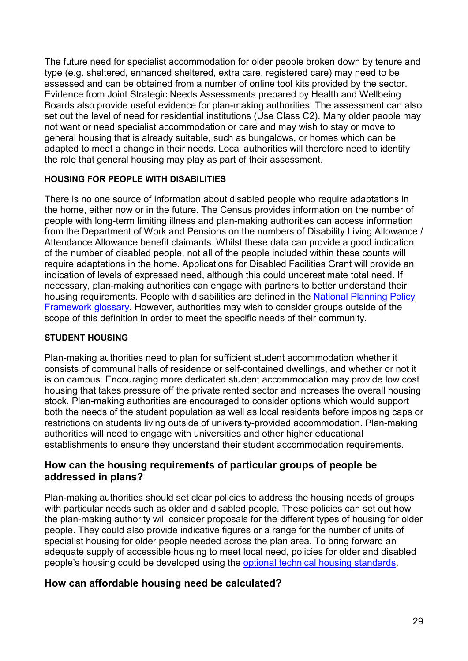The future need for specialist accommodation for older people broken down by tenure and type (e.g. sheltered, enhanced sheltered, extra care, registered care) may need to be assessed and can be obtained from a number of online tool kits provided by the sector. Evidence from Joint Strategic Needs Assessments prepared by Health and Wellbeing Boards also provide useful evidence for plan-making authorities. The assessment can also set out the level of need for residential institutions (Use Class C2). Many older people may not want or need specialist accommodation or care and may wish to stay or move to general housing that is already suitable, such as bungalows, or homes which can be adapted to meet a change in their needs. Local authorities will therefore need to identify the role that general housing may play as part of their assessment.

#### **HOUSING FOR PEOPLE WITH DISABILITIES**

There is no one source of information about disabled people who require adaptations in the home, either now or in the future. The Census provides information on the number of people with long-term limiting illness and plan-making authorities can access information from the Department of Work and Pensions on the numbers of Disability Living Allowance / Attendance Allowance benefit claimants. Whilst these data can provide a good indication of the number of disabled people, not all of the people included within these counts will require adaptations in the home. Applications for Disabled Facilities Grant will provide an indication of levels of expressed need, although this could underestimate total need. If necessary, plan-making authorities can engage with partners to better understand their housing requirements. People with disabilities are defined in the [National Planning Policy](https://www.gov.uk/government/uploads/system/uploads/attachment_data/file/685289/Draft_revised_National_Planning_Policy_Framework.pdf)  [Framework](https://www.gov.uk/government/uploads/system/uploads/attachment_data/file/685289/Draft_revised_National_Planning_Policy_Framework.pdf) glossary. However, authorities may wish to consider groups outside of the scope of this definition in order to meet the specific needs of their community.

#### **STUDENT HOUSING**

Plan-making authorities need to plan for sufficient student accommodation whether it consists of communal halls of residence or self-contained dwellings, and whether or not it is on campus. Encouraging more dedicated student accommodation may provide low cost housing that takes pressure off the private rented sector and increases the overall housing stock. Plan-making authorities are encouraged to consider options which would support both the needs of the student population as well as local residents before imposing caps or restrictions on students living outside of university-provided accommodation. Plan-making authorities will need to engage with universities and other higher educational establishments to ensure they understand their student accommodation requirements.

#### **How can the housing requirements of particular groups of people be addressed in plans?**

Plan-making authorities should set clear policies to address the housing needs of groups with particular needs such as older and disabled people. These policies can set out how the plan-making authority will consider proposals for the different types of housing for older people. They could also provide indicative figures or a range for the number of units of specialist housing for older people needed across the plan area. To bring forward an adequate supply of accessible housing to meet local need, policies for older and disabled people's housing could be developed using the [optional technical housing standards.](https://www.gov.uk/guidance/housing-optional-technical-standards)

# **How can affordable housing need be calculated?**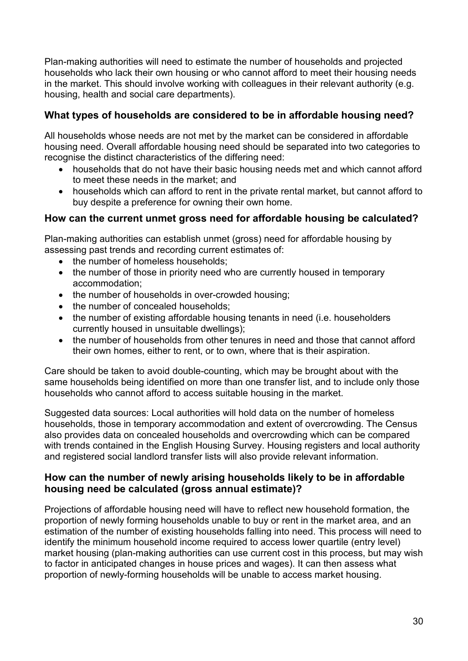Plan-making authorities will need to estimate the number of households and projected households who lack their own housing or who cannot afford to meet their housing needs in the market. This should involve working with colleagues in their relevant authority (e.g. housing, health and social care departments).

# **What types of households are considered to be in affordable housing need?**

All households whose needs are not met by the market can be considered in affordable housing need. Overall affordable housing need should be separated into two categories to recognise the distinct characteristics of the differing need:

- households that do not have their basic housing needs met and which cannot afford to meet these needs in the market; and
- households which can afford to rent in the private rental market, but cannot afford to buy despite a preference for owning their own home.

# **How can the current unmet gross need for affordable housing be calculated?**

Plan-making authorities can establish unmet (gross) need for affordable housing by assessing past trends and recording current estimates of:

- the number of homeless households:
- the number of those in priority need who are currently housed in temporary accommodation;
- the number of households in over-crowded housing;
- the number of concealed households:
- the number of existing affordable housing tenants in need (i.e. householders currently housed in unsuitable dwellings);
- the number of households from other tenures in need and those that cannot afford their own homes, either to rent, or to own, where that is their aspiration.

Care should be taken to avoid double-counting, which may be brought about with the same households being identified on more than one transfer list, and to include only those households who cannot afford to access suitable housing in the market.

Suggested data sources: Local authorities will hold data on the number of homeless households, those in temporary accommodation and extent of overcrowding. The Census also provides data on concealed households and overcrowding which can be compared with trends contained in the English Housing Survey. Housing registers and local authority and registered social landlord transfer lists will also provide relevant information.

# **How can the number of newly arising households likely to be in affordable housing need be calculated (gross annual estimate)?**

Projections of affordable housing need will have to reflect new household formation, the proportion of newly forming households unable to buy or rent in the market area, and an estimation of the number of existing households falling into need. This process will need to identify the minimum household income required to access lower quartile (entry level) market housing (plan-making authorities can use current cost in this process, but may wish to factor in anticipated changes in house prices and wages). It can then assess what proportion of newly-forming households will be unable to access market housing.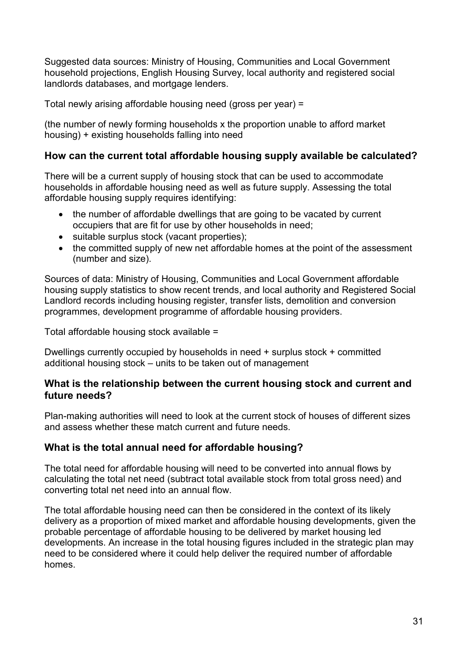Suggested data sources: Ministry of Housing, Communities and Local Government household projections, English Housing Survey, local authority and registered social landlords databases, and mortgage lenders.

Total newly arising affordable housing need (gross per year) =

(the number of newly forming households x the proportion unable to afford market housing) + existing households falling into need

# **How can the current total affordable housing supply available be calculated?**

There will be a current supply of housing stock that can be used to accommodate households in affordable housing need as well as future supply. Assessing the total affordable housing supply requires identifying:

- the number of affordable dwellings that are going to be vacated by current occupiers that are fit for use by other households in need;
- suitable surplus stock (vacant properties);
- the committed supply of new net affordable homes at the point of the assessment (number and size).

Sources of data: Ministry of Housing, Communities and Local Government affordable housing supply statistics to show recent trends, and local authority and Registered Social Landlord records including housing register, transfer lists, demolition and conversion programmes, development programme of affordable housing providers.

Total affordable housing stock available =

Dwellings currently occupied by households in need + surplus stock + committed additional housing stock – units to be taken out of management

#### **What is the relationship between the current housing stock and current and future needs?**

Plan-making authorities will need to look at the current stock of houses of different sizes and assess whether these match current and future needs.

# **What is the total annual need for affordable housing?**

The total need for affordable housing will need to be converted into annual flows by calculating the total net need (subtract total available stock from total gross need) and converting total net need into an annual flow.

The total affordable housing need can then be considered in the context of its likely delivery as a proportion of mixed market and affordable housing developments, given the probable percentage of affordable housing to be delivered by market housing led developments. An increase in the total housing figures included in the strategic plan may need to be considered where it could help deliver the required number of affordable homes.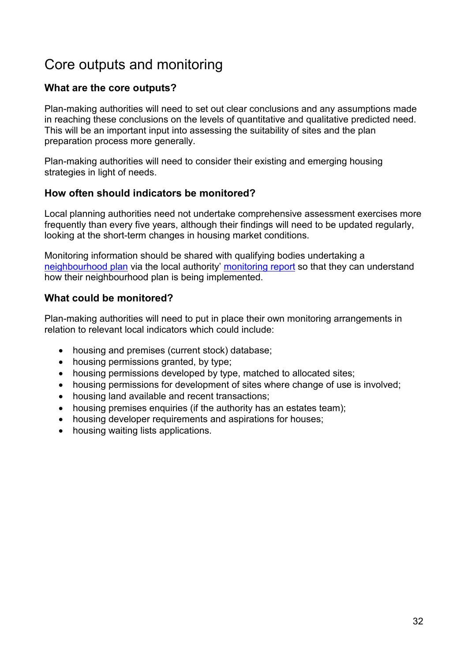# Core outputs and monitoring

# **What are the core outputs?**

Plan-making authorities will need to set out clear conclusions and any assumptions made in reaching these conclusions on the levels of quantitative and qualitative predicted need. This will be an important input into assessing the suitability of sites and the plan preparation process more generally.

Plan-making authorities will need to consider their existing and emerging housing strategies in light of needs.

# **How often should indicators be monitored?**

Local planning authorities need not undertake comprehensive assessment exercises more frequently than every five years, although their findings will need to be updated regularly, looking at the short-term changes in housing market conditions.

Monitoring information should be shared with qualifying bodies undertaking a [neighbourhood plan](https://www.gov.uk/guidance/neighbourhood-planning--2) via the local authority' [monitoring report](https://www.gov.uk/guidance/local-plans--2#local-plans-adoption) so that they can understand how their neighbourhood plan is being implemented.

# **What could be monitored?**

Plan-making authorities will need to put in place their own monitoring arrangements in relation to relevant local indicators which could include:

- housing and premises (current stock) database;
- housing permissions granted, by type;
- housing permissions developed by type, matched to allocated sites;
- housing permissions for development of sites where change of use is involved:
- housing land available and recent transactions;
- housing premises enquiries (if the authority has an estates team);
- housing developer requirements and aspirations for houses;
- housing waiting lists applications.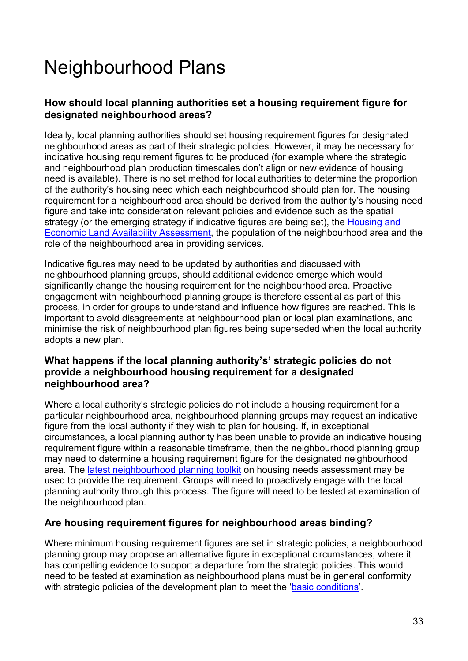# <span id="page-32-0"></span>Neighbourhood Plans

# **How should local planning authorities set a housing requirement figure for designated neighbourhood areas?**

Ideally, local planning authorities should set housing requirement figures for designated neighbourhood areas as part of their strategic policies. However, it may be necessary for indicative housing requirement figures to be produced (for example where the strategic and neighbourhood plan production timescales don't align or new evidence of housing need is available). There is no set method for local authorities to determine the proportion of the authority's housing need which each neighbourhood should plan for. The housing requirement for a neighbourhood area should be derived from the authority's housing need figure and take into consideration relevant policies and evidence such as the spatial strategy (or the emerging strategy if indicative figures are being set), the [Housing and](https://www.gov.uk/guidance/housing-and-economic-land-availability-assessment)  [Economic Land Availability Assessment,](https://www.gov.uk/guidance/housing-and-economic-land-availability-assessment) the population of the neighbourhood area and the role of the neighbourhood area in providing services.

Indicative figures may need to be updated by authorities and discussed with neighbourhood planning groups, should additional evidence emerge which would significantly change the housing requirement for the neighbourhood area. Proactive engagement with neighbourhood planning groups is therefore essential as part of this process, in order for groups to understand and influence how figures are reached. This is important to avoid disagreements at neighbourhood plan or local plan examinations, and minimise the risk of neighbourhood plan figures being superseded when the local authority adopts a new plan.

# **What happens if the local planning authority's' strategic policies do not provide a neighbourhood housing requirement for a designated neighbourhood area?**

Where a local authority's strategic policies do not include a housing requirement for a particular neighbourhood area, neighbourhood planning groups may request an indicative figure from the local authority if they wish to plan for housing. If, in exceptional circumstances, a local planning authority has been unable to provide an indicative housing requirement figure within a reasonable timeframe, then the neighbourhood planning group may need to determine a housing requirement figure for the designated neighbourhood area. The [latest neighbourhood planning toolkit](https://mycommunity.org.uk/resources/housing-needs-assessment-at-neighbourhood-plan-level/) on housing needs assessment may be used to provide the requirement. Groups will need to proactively engage with the local planning authority through this process. The figure will need to be tested at examination of the neighbourhood plan.

# **Are housing requirement figures for neighbourhood areas binding?**

Where minimum housing requirement figures are set in strategic policies, a neighbourhood planning group may propose an alternative figure in exceptional circumstances, where it has compelling evidence to support a departure from the strategic policies. This would need to be tested at examination as neighbourhood plans must be in general conformity with strategic policies of the development plan to meet the ['basic conditions'](https://www.gov.uk/guidance/neighbourhood-planning--2#basic-conditions-for-neighbourhood-plan-to-referendum).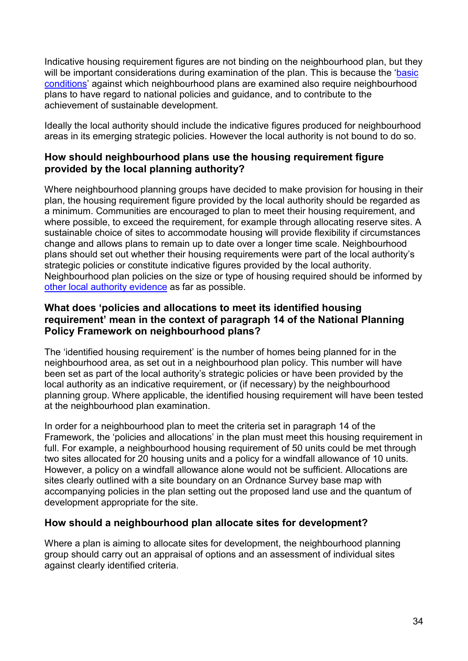Indicative housing requirement figures are not binding on the neighbourhood plan, but they will be important considerations during examination of the plan. This is because the 'basic [conditions'](https://www.gov.uk/guidance/neighbourhood-planning--2#basic-conditions-for-neighbourhood-plan-to-referendum) against which neighbourhood plans are examined also require neighbourhood plans to have regard to national policies and guidance, and to contribute to the achievement of sustainable development.

Ideally the local authority should include the indicative figures produced for neighbourhood areas in its emerging strategic policies. However the local authority is not bound to do so.

# **How should neighbourhood plans use the housing requirement figure provided by the local planning authority?**

Where neighbourhood planning groups have decided to make provision for housing in their plan, the housing requirement figure provided by the local authority should be regarded as a minimum. Communities are encouraged to plan to meet their housing requirement, and where possible, to exceed the requirement, for example through allocating reserve sites. A sustainable choice of sites to accommodate housing will provide flexibility if circumstances change and allows plans to remain up to date over a longer time scale. Neighbourhood plans should set out whether their housing requirements were part of the local authority's strategic policies or constitute indicative figures provided by the local authority. Neighbourhood plan policies on the size or type of housing required should be informed by [other local authority evidence](#page-27-0) as far as possible.

# **What does 'policies and allocations to meet its identified housing requirement' mean in the context of paragraph 14 of the National Planning Policy Framework on neighbourhood plans?**

The 'identified housing requirement' is the number of homes being planned for in the neighbourhood area, as set out in a neighbourhood plan policy. This number will have been set as part of the local authority's strategic policies or have been provided by the local authority as an indicative requirement, or (if necessary) by the neighbourhood planning group. Where applicable, the identified housing requirement will have been tested at the neighbourhood plan examination.

In order for a neighbourhood plan to meet the criteria set in paragraph 14 of the Framework, the 'policies and allocations' in the plan must meet this housing requirement in full. For example, a neighbourhood housing requirement of 50 units could be met through two sites allocated for 20 housing units and a policy for a windfall allowance of 10 units. However, a policy on a windfall allowance alone would not be sufficient. Allocations are sites clearly outlined with a site boundary on an Ordnance Survey base map with accompanying policies in the plan setting out the proposed land use and the quantum of development appropriate for the site.

# **How should a neighbourhood plan allocate sites for development?**

Where a plan is aiming to allocate sites for development, the neighbourhood planning group should carry out an appraisal of options and an assessment of individual sites against clearly identified criteria.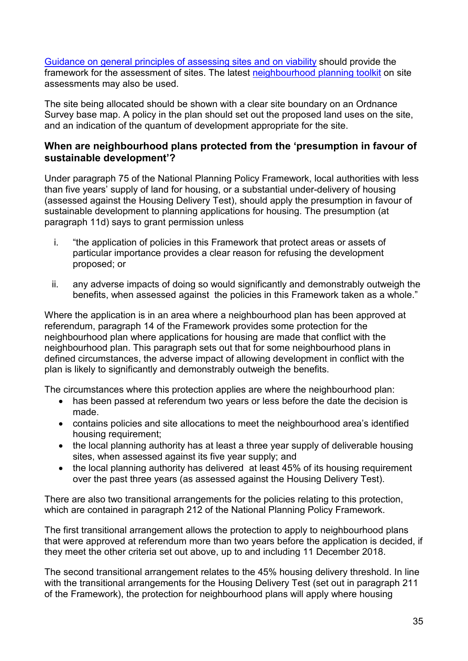Guidance on general principles of assessing sites and on viability should provide the framework for the assessment of sites. The latest [neighbourhood planning toolkit](https://mycommunity.org.uk/wp-content/uploads/2016/09/NP-Site-Assessment-Toolkit-Final-version.pdf) on site assessments may also be used.

The site being allocated should be shown with a clear site boundary on an Ordnance Survey base map. A policy in the plan should set out the proposed land uses on the site, and an indication of the quantum of development appropriate for the site.

# **When are neighbourhood plans protected from the 'presumption in favour of sustainable development'?**

Under paragraph 75 of the National Planning Policy Framework, local authorities with less than five years' supply of land for housing, or a substantial under-delivery of housing (assessed against the Housing Delivery Test), should apply the presumption in favour of sustainable development to planning applications for housing. The presumption (at paragraph 11d) says to grant permission unless

- i. "the application of policies in this Framework that protect areas or assets of particular importance provides a clear reason for refusing the development proposed; or
- ii. any adverse impacts of doing so would significantly and demonstrably outweigh the benefits, when assessed against the policies in this Framework taken as a whole."

Where the application is in an area where a neighbourhood plan has been approved at referendum, paragraph 14 of the Framework provides some protection for the neighbourhood plan where applications for housing are made that conflict with the neighbourhood plan. This paragraph sets out that for some neighbourhood plans in defined circumstances, the adverse impact of allowing development in conflict with the plan is likely to significantly and demonstrably outweigh the benefits.

The circumstances where this protection applies are where the neighbourhood plan:

- has been passed at referendum two vears or less before the date the decision is made.
- contains policies and site allocations to meet the neighbourhood area's identified housing requirement;
- the local planning authority has at least a three year supply of deliverable housing sites, when assessed against its five year supply; and
- the local planning authority has delivered at least 45% of its housing requirement over the past three years (as assessed against the Housing Delivery Test).

There are also two transitional arrangements for the policies relating to this protection, which are contained in paragraph 212 of the National Planning Policy Framework.

The first transitional arrangement allows the protection to apply to neighbourhood plans that were approved at referendum more than two years before the application is decided, if they meet the other criteria set out above, up to and including 11 December 2018.

The second transitional arrangement relates to the 45% housing delivery threshold. In line with the transitional arrangements for the Housing Delivery Test (set out in paragraph 211 of the Framework), the protection for neighbourhood plans will apply where housing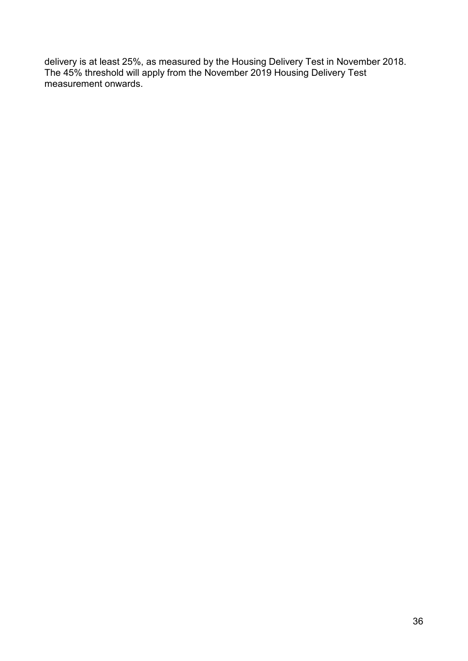delivery is at least 25%, as measured by the Housing Delivery Test in November 2018. The 45% threshold will apply from the November 2019 Housing Delivery Test measurement onwards.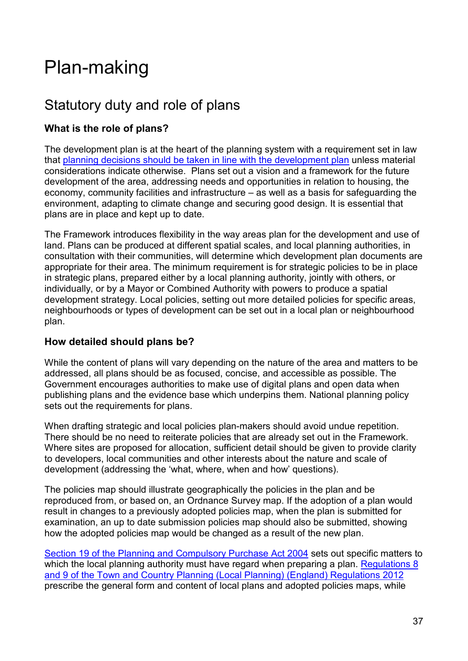# <span id="page-36-0"></span>Plan-making

# Statutory duty and role of plans

# **What is the role of plans?**

The development plan is at the heart of the planning system with a requirement set in law that [planning decisions should be taken in line with the development plan](https://www.legislation.gov.uk/ukpga/2004/5/section/38) unless material considerations indicate otherwise. Plans set out a vision and a framework for the future development of the area, addressing needs and opportunities in relation to housing, the economy, community facilities and infrastructure – as well as a basis for safeguarding the environment, adapting to climate change and securing good design. It is essential that plans are in place and kept up to date.

The Framework introduces flexibility in the way areas plan for the development and use of land. Plans can be produced at different spatial scales, and local planning authorities, in consultation with their communities, will determine which development plan documents are appropriate for their area. The minimum requirement is for strategic policies to be in place in strategic plans, prepared either by a local planning authority, jointly with others, or individually, or by a Mayor or Combined Authority with powers to produce a spatial development strategy. Local policies, setting out more detailed policies for specific areas, neighbourhoods or types of development can be set out in a local plan or neighbourhood plan.

# **How detailed should plans be?**

While the content of plans will vary depending on the nature of the area and matters to be addressed, all plans should be as focused, concise, and accessible as possible. The Government encourages authorities to make use of digital plans and open data when publishing plans and the evidence base which underpins them. National planning policy sets out the requirements for plans.

When drafting strategic and local policies plan-makers should avoid undue repetition. There should be no need to reiterate policies that are already set out in the Framework. Where sites are proposed for allocation, sufficient detail should be given to provide clarity to developers, local communities and other interests about the nature and scale of development (addressing the 'what, where, when and how' questions).

The policies map should illustrate geographically the policies in the plan and be reproduced from, or based on, an Ordnance Survey map. If the adoption of a plan would result in changes to a previously adopted policies map, when the plan is submitted for examination, an up to date submission policies map should also be submitted, showing how the adopted policies map would be changed as a result of the new plan.

[Section 19 of the Planning and Compulsory Purchase Act 2004](http://www.legislation.gov.uk/ukpga/2004/5/section/19) sets out specific matters to which the local planning authority must have regard when preparing a plan. Regulations 8 and 9 of the Town and Country Planning (Local Planning) (England) Regulations 2012 prescribe the general form and content of local plans and adopted policies maps, while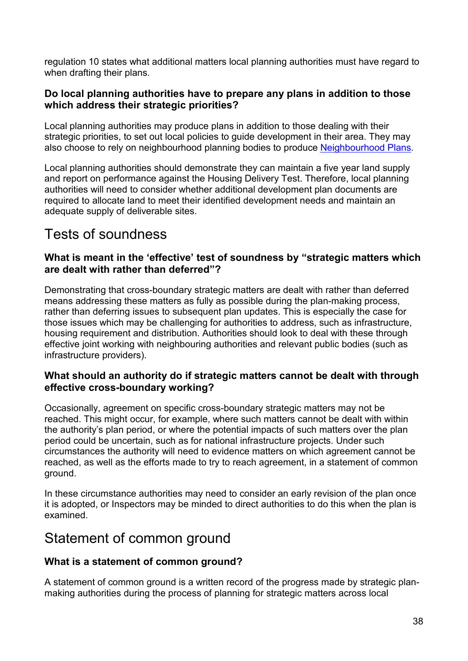regulation 10 states what additional matters local planning authorities must have regard to when drafting their plans.

# **Do local planning authorities have to prepare any plans in addition to those which address their strategic priorities?**

Local planning authorities may produce plans in addition to those dealing with their strategic priorities, to set out local policies to guide development in their area. They may also choose to rely on neighbourhood planning bodies to produce [Neighbourhood Plans.](https://www.gov.uk/guidance/neighbourhood-planning--2)

Local planning authorities should demonstrate they can maintain a five year land supply and report on performance against the Housing Delivery Test. Therefore, local planning authorities will need to consider whether additional development plan documents are required to allocate land to meet their identified development needs and maintain an adequate supply of deliverable sites.

# Tests of soundness

# **What is meant in the 'effective' test of soundness by "strategic matters which are dealt with rather than deferred"?**

Demonstrating that cross-boundary strategic matters are dealt with rather than deferred means addressing these matters as fully as possible during the plan-making process, rather than deferring issues to subsequent plan updates. This is especially the case for those issues which may be challenging for authorities to address, such as infrastructure, housing requirement and distribution. Authorities should look to deal with these through effective joint working with neighbouring authorities and relevant public bodies (such as infrastructure providers).

# **What should an authority do if strategic matters cannot be dealt with through effective cross-boundary working?**

Occasionally, agreement on specific cross-boundary strategic matters may not be reached. This might occur, for example, where such matters cannot be dealt with within the authority's plan period, or where the potential impacts of such matters over the plan period could be uncertain, such as for national infrastructure projects. Under such circumstances the authority will need to evidence matters on which agreement cannot be reached, as well as the efforts made to try to reach agreement, in a statement of common ground.

In these circumstance authorities may need to consider an early revision of the plan once it is adopted, or Inspectors may be minded to direct authorities to do this when the plan is examined.

# Statement of common ground

# **What is a statement of common ground?**

A statement of common ground is a written record of the progress made by strategic planmaking authorities during the process of planning for strategic matters across local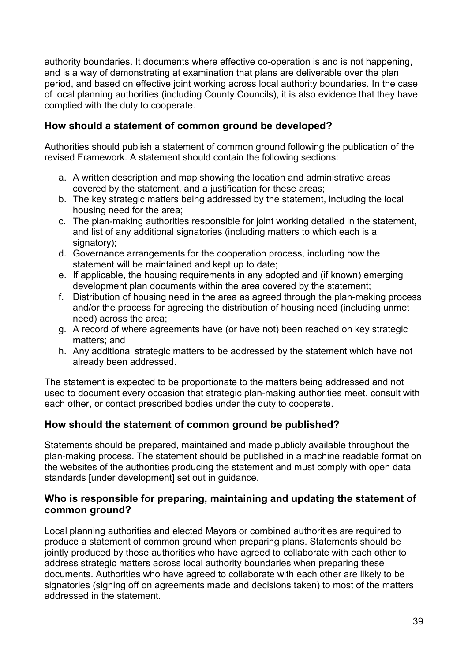authority boundaries. It documents where effective co-operation is and is not happening, and is a way of demonstrating at examination that plans are deliverable over the plan period, and based on effective joint working across local authority boundaries. In the case of local planning authorities (including County Councils), it is also evidence that they have complied with the duty to cooperate.

# **How should a statement of common ground be developed?**

Authorities should publish a statement of common ground following the publication of the revised Framework. A statement should contain the following sections:

- a. A written description and map showing the location and administrative areas covered by the statement, and a justification for these areas;
- b. The key strategic matters being addressed by the statement, including the local housing need for the area;
- c. The plan-making authorities responsible for joint working detailed in the statement, and list of any additional signatories (including matters to which each is a signatory);
- d. Governance arrangements for the cooperation process, including how the statement will be maintained and kept up to date;
- e. If applicable, the housing requirements in any adopted and (if known) emerging development plan documents within the area covered by the statement;
- f. Distribution of housing need in the area as agreed through the plan-making process and/or the process for agreeing the distribution of housing need (including unmet need) across the area;
- g. A record of where agreements have (or have not) been reached on key strategic matters; and
- h. Any additional strategic matters to be addressed by the statement which have not already been addressed.

The statement is expected to be proportionate to the matters being addressed and not used to document every occasion that strategic plan-making authorities meet, consult with each other, or contact prescribed bodies under the duty to cooperate.

# **How should the statement of common ground be published?**

Statements should be prepared, maintained and made publicly available throughout the plan-making process. The statement should be published in a machine readable format on the websites of the authorities producing the statement and must comply with open data standards lunder developmenti set out in quidance.

# **Who is responsible for preparing, maintaining and updating the statement of common ground?**

Local planning authorities and elected Mayors or combined authorities are required to produce a statement of common ground when preparing plans. Statements should be jointly produced by those authorities who have agreed to collaborate with each other to address strategic matters across local authority boundaries when preparing these documents. Authorities who have agreed to collaborate with each other are likely to be signatories (signing off on agreements made and decisions taken) to most of the matters addressed in the statement.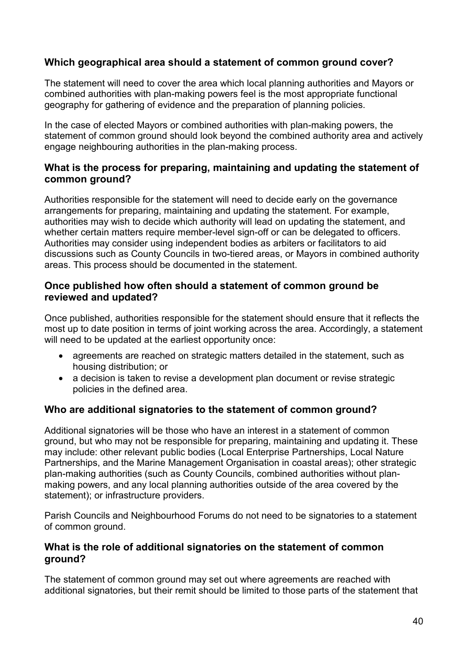# **Which geographical area should a statement of common ground cover?**

The statement will need to cover the area which local planning authorities and Mayors or combined authorities with plan-making powers feel is the most appropriate functional geography for gathering of evidence and the preparation of planning policies.

In the case of elected Mayors or combined authorities with plan-making powers, the statement of common ground should look beyond the combined authority area and actively engage neighbouring authorities in the plan-making process.

#### **What is the process for preparing, maintaining and updating the statement of common ground?**

Authorities responsible for the statement will need to decide early on the governance arrangements for preparing, maintaining and updating the statement. For example, authorities may wish to decide which authority will lead on updating the statement, and whether certain matters require member-level sign-off or can be delegated to officers. Authorities may consider using independent bodies as arbiters or facilitators to aid discussions such as County Councils in two-tiered areas, or Mayors in combined authority areas. This process should be documented in the statement.

# **Once published how often should a statement of common ground be reviewed and updated?**

Once published, authorities responsible for the statement should ensure that it reflects the most up to date position in terms of joint working across the area. Accordingly, a statement will need to be updated at the earliest opportunity once:

- agreements are reached on strategic matters detailed in the statement, such as housing distribution; or
- a decision is taken to revise a development plan document or revise strategic policies in the defined area.

# **Who are additional signatories to the statement of common ground?**

Additional signatories will be those who have an interest in a statement of common ground, but who may not be responsible for preparing, maintaining and updating it. These may include: other relevant public bodies (Local Enterprise Partnerships, Local Nature Partnerships, and the Marine Management Organisation in coastal areas); other strategic plan-making authorities (such as County Councils, combined authorities without planmaking powers, and any local planning authorities outside of the area covered by the statement); or infrastructure providers.

Parish Councils and Neighbourhood Forums do not need to be signatories to a statement of common ground.

#### **What is the role of additional signatories on the statement of common ground?**

The statement of common ground may set out where agreements are reached with additional signatories, but their remit should be limited to those parts of the statement that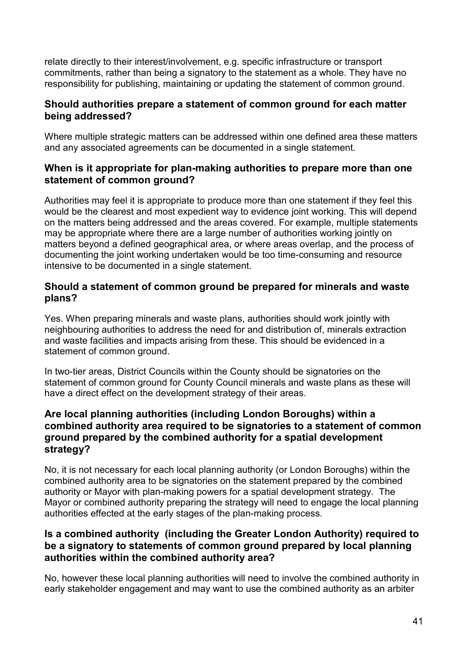relate directly to their interest/involvement, e.g. specific infrastructure or transport commitments, rather than being a signatory to the statement as a whole. They have no responsibility for publishing, maintaining or updating the statement of common ground.

#### **Should authorities prepare a statement of common ground for each matter being addressed?**

Where multiple strategic matters can be addressed within one defined area these matters and any associated agreements can be documented in a single statement.

# **When is it appropriate for plan-making authorities to prepare more than one statement of common ground?**

Authorities may feel it is appropriate to produce more than one statement if they feel this would be the clearest and most expedient way to evidence joint working. This will depend on the matters being addressed and the areas covered. For example, multiple statements may be appropriate where there are a large number of authorities working jointly on matters beyond a defined geographical area, or where areas overlap, and the process of documenting the joint working undertaken would be too time-consuming and resource intensive to be documented in a single statement.

# **Should a statement of common ground be prepared for minerals and waste plans?**

Yes. When preparing minerals and waste plans, authorities should work jointly with neighbouring authorities to address the need for and distribution of, minerals extraction and waste facilities and impacts arising from these. This should be evidenced in a statement of common ground.

In two-tier areas, District Councils within the County should be signatories on the statement of common ground for County Council minerals and waste plans as these will have a direct effect on the development strategy of their areas.

# **Are local planning authorities (including London Boroughs) within a combined authority area required to be signatories to a statement of common ground prepared by the combined authority for a spatial development strategy?**

No, it is not necessary for each local planning authority (or London Boroughs) within the combined authority area to be signatories on the statement prepared by the combined authority or Mayor with plan-making powers for a spatial development strategy. The Mayor or combined authority preparing the strategy will need to engage the local planning authorities effected at the early stages of the plan-making process.

# **Is a combined authority (including the Greater London Authority) required to be a signatory to statements of common ground prepared by local planning authorities within the combined authority area?**

No, however these local planning authorities will need to involve the combined authority in early stakeholder engagement and may want to use the combined authority as an arbiter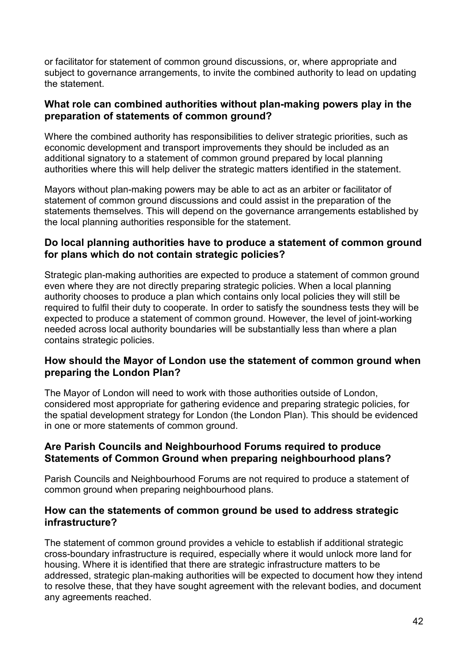or facilitator for statement of common ground discussions, or, where appropriate and subject to governance arrangements, to invite the combined authority to lead on updating the statement.

#### **What role can combined authorities without plan-making powers play in the preparation of statements of common ground?**

Where the combined authority has responsibilities to deliver strategic priorities, such as economic development and transport improvements they should be included as an additional signatory to a statement of common ground prepared by local planning authorities where this will help deliver the strategic matters identified in the statement.

Mayors without plan-making powers may be able to act as an arbiter or facilitator of statement of common ground discussions and could assist in the preparation of the statements themselves. This will depend on the governance arrangements established by the local planning authorities responsible for the statement.

# **Do local planning authorities have to produce a statement of common ground for plans which do not contain strategic policies?**

Strategic plan-making authorities are expected to produce a statement of common ground even where they are not directly preparing strategic policies. When a local planning authority chooses to produce a plan which contains only local policies they will still be required to fulfil their duty to cooperate. In order to satisfy the soundness tests they will be expected to produce a statement of common ground. However, the level of joint-working needed across local authority boundaries will be substantially less than where a plan contains strategic policies.

# **How should the Mayor of London use the statement of common ground when preparing the London Plan?**

The Mayor of London will need to work with those authorities outside of London, considered most appropriate for gathering evidence and preparing strategic policies, for the spatial development strategy for London (the London Plan). This should be evidenced in one or more statements of common ground.

#### **Are Parish Councils and Neighbourhood Forums required to produce Statements of Common Ground when preparing neighbourhood plans?**

Parish Councils and Neighbourhood Forums are not required to produce a statement of common ground when preparing neighbourhood plans.

#### **How can the statements of common ground be used to address strategic infrastructure?**

The statement of common ground provides a vehicle to establish if additional strategic cross-boundary infrastructure is required, especially where it would unlock more land for housing. Where it is identified that there are strategic infrastructure matters to be addressed, strategic plan-making authorities will be expected to document how they intend to resolve these, that they have sought agreement with the relevant bodies, and document any agreements reached.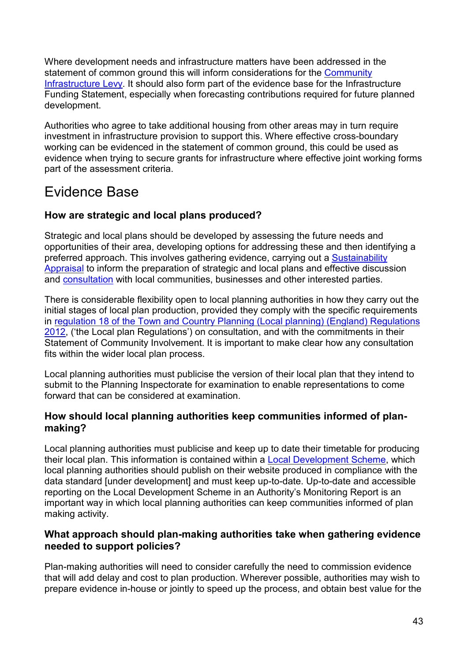Where development needs and infrastructure matters have been addressed in the statement of common ground this will inform considerations for the **Community** [Infrastructure Levy.](https://www.gov.uk/guidance/community-infrastructure-levy) It should also form part of the evidence base for the Infrastructure Funding Statement, especially when forecasting contributions required for future planned development.

Authorities who agree to take additional housing from other areas may in turn require investment in infrastructure provision to support this. Where effective cross-boundary working can be evidenced in the statement of common ground, this could be used as evidence when trying to secure grants for infrastructure where effective joint working forms part of the assessment criteria.

# Evidence Base

# **How are strategic and local plans produced?**

Strategic and local plans should be developed by assessing the future needs and opportunities of their area, developing options for addressing these and then identifying a preferred approach. This involves gathering evidence, carrying out a Sustainability [Appraisal](https://www.gov.uk/guidance/strategic-environmental-assessment-and-sustainability-appraisal) to inform the preparation of strategic and local plans and effective discussion and [consultation](https://www.gov.uk/guidance/local-plans--2#Who-should-be-involved) with local communities, businesses and other interested parties.

There is considerable flexibility open to local planning authorities in how they carry out the initial stages of local plan production, provided they comply with the specific requirements in [regulation 18 of the Town and Country Planning \(Local planning\) \(England\) Regulations](http://www.legislation.gov.uk/uksi/2012/767/regulation/18/made)  [2012,](http://www.legislation.gov.uk/uksi/2012/767/regulation/18/made) ('the Local plan Regulations') on consultation, and with the commitments in their Statement of Community Involvement. It is important to make clear how any consultation fits within the wider local plan process.

Local planning authorities must publicise the version of their local plan that they intend to submit to the Planning Inspectorate for examination to enable representations to come forward that can be considered at examination.

# **How should local planning authorities keep communities informed of planmaking?**

Local planning authorities must publicise and keep up to date their timetable for producing their local plan. This information is contained within a [Local Development Scheme,](https://www.gov.uk/guidance/local-plans--2#Local-Development-Scheme-contain) which local planning authorities should publish on their website produced in compliance with the data standard [under development] and must keep up-to-date. Up-to-date and accessible reporting on the Local Development Scheme in an Authority's Monitoring Report is an important way in which local planning authorities can keep communities informed of plan making activity.

# **What approach should plan-making authorities take when gathering evidence needed to support policies?**

Plan-making authorities will need to consider carefully the need to commission evidence that will add delay and cost to plan production. Wherever possible, authorities may wish to prepare evidence in-house or jointly to speed up the process, and obtain best value for the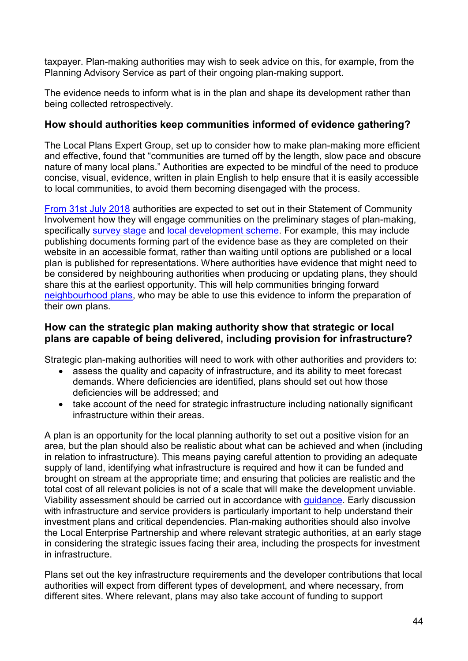taxpayer. Plan-making authorities may wish to seek advice on this, for example, from the Planning Advisory Service as part of their ongoing plan-making support.

The evidence needs to inform what is in the plan and shape its development rather than being collected retrospectively.

# **How should authorities keep communities informed of evidence gathering?**

The Local Plans Expert Group, set up to consider how to make plan-making more efficient and effective, found that "communities are turned off by the length, slow pace and obscure nature of many local plans." Authorities are expected to be mindful of the need to produce concise, visual, evidence, written in plain English to help ensure that it is easily accessible to local communities, to avoid them becoming disengaged with the process.

[From 31st July 2018](http://www.legislation.gov.uk/uksi/2018/38/regulation/4/made) authorities are expected to set out in their Statement of Community Involvement how they will engage communities on the preliminary stages of plan-making, specifically [survey stage](http://www.legislation.gov.uk/ukpga/2004/5/section/13) and [local development scheme.](http://www.legislation.gov.uk/ukpga/2004/5/section/15) For example, this may include publishing documents forming part of the evidence base as they are completed on their website in an accessible format, rather than waiting until options are published or a local plan is published for representations. Where authorities have evidence that might need to be considered by neighbouring authorities when producing or updating plans, they should share this at the earliest opportunity. This will help communities bringing forward [neighbourhood plans,](https://www.gov.uk/guidance/neighbourhood-planning--2) who may be able to use this evidence to inform the preparation of their own plans.

#### **How can the strategic plan making authority show that strategic or local plans are capable of being delivered, including provision for infrastructure?**

Strategic plan-making authorities will need to work with other authorities and providers to:

- assess the quality and capacity of infrastructure, and its ability to meet forecast demands. Where deficiencies are identified, plans should set out how those deficiencies will be addressed; and
- take account of the need for strategic infrastructure including nationally significant infrastructure within their areas.

A plan is an opportunity for the local planning authority to set out a positive vision for an area, but the plan should also be realistic about what can be achieved and when (including in relation to infrastructure). This means paying careful attention to providing an adequate supply of land, identifying what infrastructure is required and how it can be funded and brought on stream at the appropriate time; and ensuring that policies are realistic and the total cost of all relevant policies is not of a scale that will make the development unviable. Viability assessment should be carried out in accordance with guidance. Early discussion with infrastructure and service providers is particularly important to help understand their investment plans and critical dependencies. Plan-making authorities should also involve the Local Enterprise Partnership and where relevant strategic authorities, at an early stage in considering the strategic issues facing their area, including the prospects for investment in infrastructure.

Plans set out the key infrastructure requirements and the developer contributions that local authorities will expect from different types of development, and where necessary, from different sites. Where relevant, plans may also take account of funding to support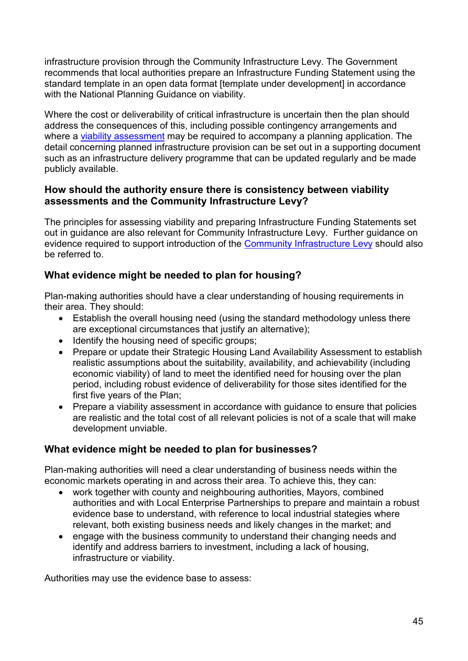infrastructure provision through the Community Infrastructure Levy. The Government recommends that local authorities prepare an Infrastructure Funding Statement using the standard template in an open data format [template under development] in accordance with the National Planning Guidance on viability.

Where the cost or deliverability of critical infrastructure is uncertain then the plan should address the consequences of this, including possible contingency arrangements and where a [viability assessment](#page-5-0) may be required to accompany a planning application. The detail concerning planned infrastructure provision can be set out in a supporting document such as an infrastructure delivery programme that can be updated regularly and be made publicly available.

# **How should the authority ensure there is consistency between viability assessments and the Community Infrastructure Levy?**

The principles for assessing viability and preparing Infrastructure Funding Statements set out in guidance are also relevant for Community Infrastructure Levy. Further guidance on evidence required to support introduction of the [Community Infrastructure Levy](https://www.gov.uk/guidance/community-infrastructure-levy) should also be referred to.

# **What evidence might be needed to plan for housing?**

Plan-making authorities should have a clear understanding of housing requirements in their area. They should:

- Establish the overall housing need (using the standard methodology unless there are exceptional circumstances that justify an alternative);
- Identify the housing need of specific groups;
- Prepare or update their Strategic Housing Land Availability Assessment to establish realistic assumptions about the suitability, availability, and achievability (including economic viability) of land to meet the identified need for housing over the plan period, including robust evidence of deliverability for those sites identified for the first five years of the Plan;
- Prepare a viability assessment in accordance with guidance to ensure that policies are realistic and the total cost of all relevant policies is not of a scale that will make development unviable.

# **What evidence might be needed to plan for businesses?**

Plan-making authorities will need a clear understanding of business needs within the economic markets operating in and across their area. To achieve this, they can:

- work together with county and neighbouring authorities, Mayors, combined authorities and with Local Enterprise Partnerships to prepare and maintain a robust evidence base to understand, with reference to local industrial stategies where relevant, both existing business needs and likely changes in the market; and
- engage with the business community to understand their changing needs and identify and address barriers to investment, including a lack of housing, infrastructure or viability.

Authorities may use the evidence base to assess: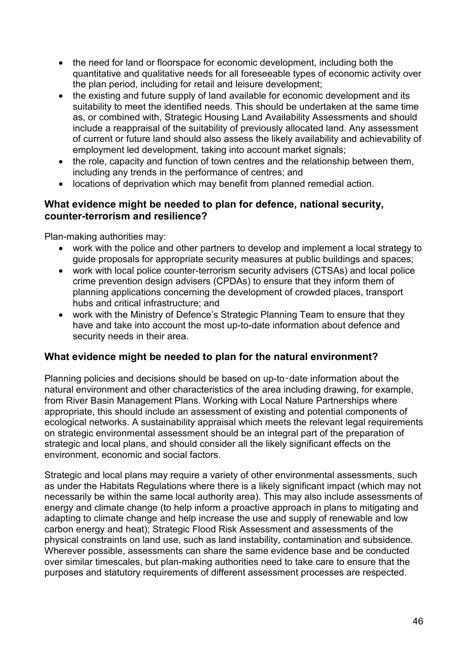- the need for land or floorspace for economic development, including both the quantitative and qualitative needs for all foreseeable types of economic activity over the plan period, including for retail and leisure development;
- the existing and future supply of land available for economic development and its suitability to meet the identified needs. This should be undertaken at the same time as, or combined with, Strategic Housing Land Availability Assessments and should include a reappraisal of the suitability of previously allocated land. Any assessment of current or future land should also assess the likely availability and achievability of employment led development, taking into account market signals;
- the role, capacity and function of town centres and the relationship between them, including any trends in the performance of centres; and
- locations of deprivation which may benefit from planned remedial action.

#### **What evidence might be needed to plan for defence, national security, counter-terrorism and resilience?**

Plan-making authorities may:

- work with the police and other partners to develop and implement a local strategy to guide proposals for appropriate security measures at public buildings and spaces;
- work with local police counter-terrorism security advisers (CTSAs) and local police crime prevention design advisers (CPDAs) to ensure that they inform them of planning applications concerning the development of crowded places, transport hubs and critical infrastructure; and
- work with the Ministry of Defence's Strategic Planning Team to ensure that they have and take into account the most up-to-date information about defence and security needs in their area.

# **What evidence might be needed to plan for the natural environment?**

Planning policies and decisions should be based on up-to-date information about the natural environment and other characteristics of the area including drawing, for example, from River Basin Management Plans. Working with Local Nature Partnerships where appropriate, this should include an assessment of existing and potential components of ecological networks. A sustainability appraisal which meets the relevant legal requirements on strategic environmental assessment should be an integral part of the preparation of strategic and local plans, and should consider all the likely significant effects on the environment, economic and social factors.

Strategic and local plans may require a variety of other environmental assessments, such as under the Habitats Regulations where there is a likely significant impact (which may not necessarily be within the same local authority area). This may also include assessments of energy and climate change (to help inform a proactive approach in plans to mitigating and adapting to climate change and help increase the use and supply of renewable and low carbon energy and heat); Strategic Flood Risk Assessment and assessments of the physical constraints on land use, such as land instability, contamination and subsidence. Wherever possible, assessments can share the same evidence base and be conducted over similar timescales, but plan-making authorities need to take care to ensure that the purposes and statutory requirements of different assessment processes are respected.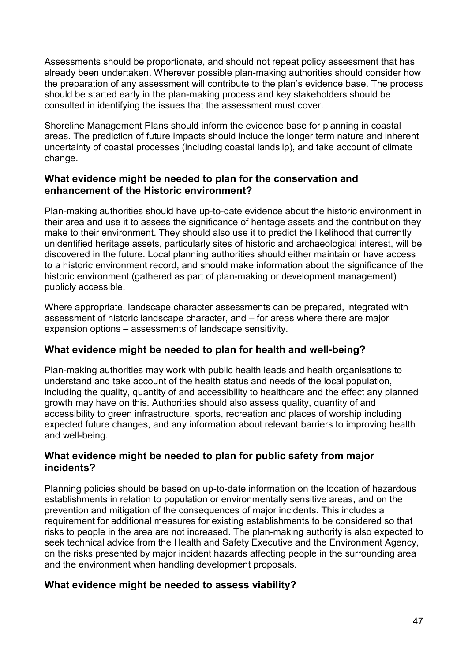Assessments should be proportionate, and should not repeat policy assessment that has already been undertaken. Wherever possible plan-making authorities should consider how the preparation of any assessment will contribute to the plan's evidence base. The process should be started early in the plan-making process and key stakeholders should be consulted in identifying the issues that the assessment must cover.

Shoreline Management Plans should inform the evidence base for planning in coastal areas. The prediction of future impacts should include the longer term nature and inherent uncertainty of coastal processes (including coastal landslip), and take account of climate change.

# **What evidence might be needed to plan for the conservation and enhancement of the Historic environment?**

Plan-making authorities should have up-to-date evidence about the historic environment in their area and use it to assess the significance of heritage assets and the contribution they make to their environment. They should also use it to predict the likelihood that currently unidentified heritage assets, particularly sites of historic and archaeological interest, will be discovered in the future. Local planning authorities should either maintain or have access to a historic environment record, and should make information about the significance of the historic environment (gathered as part of plan-making or development management) publicly accessible.

Where appropriate, landscape character assessments can be prepared, integrated with assessment of historic landscape character, and – for areas where there are major expansion options – assessments of landscape sensitivity.

# **What evidence might be needed to plan for health and well-being?**

Plan-making authorities may work with public health leads and health organisations to understand and take account of the health status and needs of the local population, including the quality, quantity of and accessibility to healthcare and the effect any planned growth may have on this. Authorities should also assess quality, quantity of and accessibility to green infrastructure, sports, recreation and places of worship including expected future changes, and any information about relevant barriers to improving health and well-being.

# **What evidence might be needed to plan for public safety from major incidents?**

Planning policies should be based on up-to-date information on the location of hazardous establishments in relation to population or environmentally sensitive areas, and on the prevention and mitigation of the consequences of major incidents. This includes a requirement for additional measures for existing establishments to be considered so that risks to people in the area are not increased. The plan-making authority is also expected to seek technical advice from the Health and Safety Executive and the Environment Agency, on the risks presented by major incident hazards affecting people in the surrounding area and the environment when handling development proposals.

# **What evidence might be needed to assess viability?**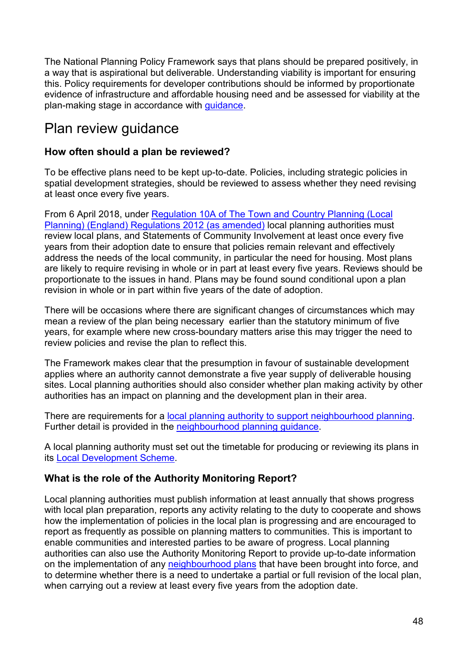The National Planning Policy Framework says that plans should be prepared positively, in a way that is aspirational but deliverable. Understanding viability is important for ensuring this. Policy requirements for developer contributions should be informed by proportionate evidence of infrastructure and affordable housing need and be assessed for viability at the plan-making stage in accordance with guidance.

# Plan review quidance

# **How often should a plan be reviewed?**

To be effective plans need to be kept up-to-date. Policies, including strategic policies in spatial development strategies, should be reviewed to assess whether they need revising at least once every five years.

From 6 April 2018, under [Regulation 10A of The Town and Country Planning \(Local](http://www.legislation.gov.uk/uksi/2017/1244/regulation/4/made)  [Planning\) \(England\) Regulations 2012 \(as amended\)](http://www.legislation.gov.uk/uksi/2017/1244/regulation/4/made) local planning authorities must review local plans, and Statements of Community Involvement at least once every five years from their adoption date to ensure that policies remain relevant and effectively address the needs of the local community, in particular the need for housing. Most plans are likely to require revising in whole or in part at least every five years. Reviews should be proportionate to the issues in hand. Plans may be found sound conditional upon a plan revision in whole or in part within five years of the date of adoption.

There will be occasions where there are significant changes of circumstances which may mean a review of the plan being necessary earlier than the statutory minimum of five years, for example where new cross-boundary matters arise this may trigger the need to review policies and revise the plan to reflect this.

The Framework makes clear that the presumption in favour of sustainable development applies where an authority cannot demonstrate a five year supply of deliverable housing sites. Local planning authorities should also consider whether plan making activity by other authorities has an impact on planning and the development plan in their area.

There are requirements for a [local planning authority to support neighbourhood planning.](http://www.legislation.gov.uk/ukpga/2011/20/schedule/10/enacted) Further detail is provided in the [neighbourhood planning guidance.](https://www.gov.uk/guidance/neighbourhood-planning--2#the-role-of-the-local-planning-authority-in-neighbourhood-planning)

A local planning authority must set out the timetable for producing or reviewing its plans in its [Local Development Scheme.](https://www.gov.uk/guidance/local-plans--2#Local-Development-Scheme-contain)

# **What is the role of the Authority Monitoring Report?**

Local planning authorities must publish information at least annually that shows progress with local plan preparation, reports any activity relating to the duty to cooperate and shows how the implementation of policies in the local plan is progressing and are encouraged to report as frequently as possible on planning matters to communities. This is important to enable communities and interested parties to be aware of progress. Local planning authorities can also use the Authority Monitoring Report to provide up-to-date information on the implementation of any [neighbourhood plans](https://www.gov.uk/guidance/neighbourhood-planning--2#what-is-neighbourhood-planning) that have been brought into force, and to determine whether there is a need to undertake a partial or full revision of the local plan, when carrying out a review at least every five years from the adoption date.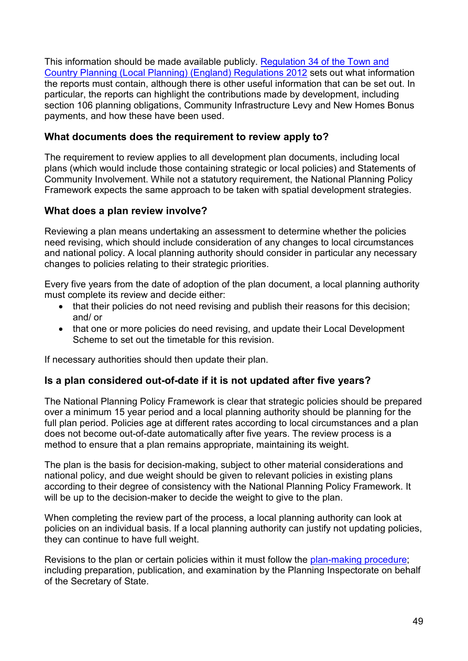This information should be made available publicly. [Regulation 34 of the Town and](http://www.legislation.gov.uk/uksi/2012/767/regulation/34/made)  [Country Planning \(Local Planning\) \(England\) Regulations 2012](http://www.legislation.gov.uk/uksi/2012/767/regulation/34/made) sets out what information the reports must contain, although there is other useful information that can be set out. In particular, the reports can highlight the contributions made by development, including section 106 planning obligations, Community Infrastructure Levy and New Homes Bonus payments, and how these have been used.

# **What documents does the requirement to review apply to?**

The requirement to review applies to all development plan documents, including local plans (which would include those containing strategic or local policies) and Statements of Community Involvement. While not a statutory requirement, the National Planning Policy Framework expects the same approach to be taken with spatial development strategies.

# **What does a plan review involve?**

Reviewing a plan means undertaking an assessment to determine whether the policies need revising, which should include consideration of any changes to local circumstances and national policy. A local planning authority should consider in particular any necessary changes to policies relating to their strategic priorities.

Every five years from the date of adoption of the plan document, a local planning authority must complete its review and decide either:

- that their policies do not need revising and publish their reasons for this decision; and/ or
- that one or more policies do need revising, and update their Local Development Scheme to set out the timetable for this revision.

If necessary authorities should then update their plan.

#### **Is a plan considered out-of-date if it is not updated after five years?**

The National Planning Policy Framework is clear that strategic policies should be prepared over a minimum 15 year period and a local planning authority should be planning for the full plan period. Policies age at different rates according to local circumstances and a plan does not become out-of-date automatically after five years. The review process is a method to ensure that a plan remains appropriate, maintaining its weight.

The plan is the basis for decision-making, subject to other material considerations and national policy, and due weight should be given to relevant policies in existing plans according to their degree of consistency with the National Planning Policy Framework. It will be up to the decision-maker to decide the weight to give to the plan.

When completing the review part of the process, a local planning authority can look at policies on an individual basis. If a local planning authority can justify not updating policies, they can continue to have full weight.

Revisions to the plan or certain policies within it must follow the [plan-making procedure;](https://www.gov.uk/guidance/local-plans--2) including preparation, publication, and examination by the Planning Inspectorate on behalf of the Secretary of State.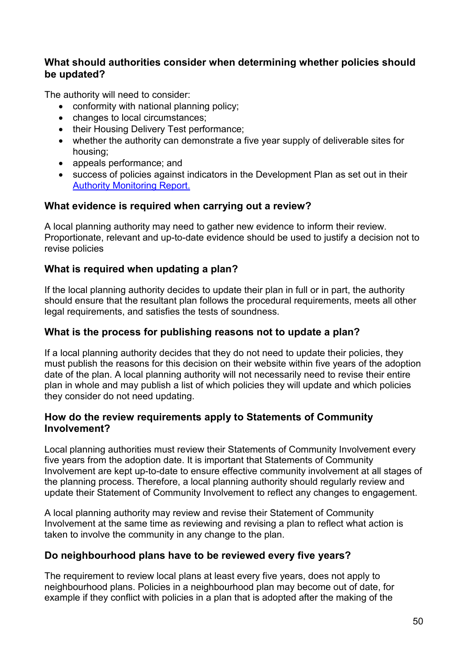# **What should authorities consider when determining whether policies should be updated?**

The authority will need to consider:

- conformity with national planning policy;
- changes to local circumstances:
- their Housing Delivery Test performance;
- whether the authority can demonstrate a five year supply of deliverable sites for housing;
- appeals performance; and
- success of policies against indicators in the Development Plan as set out in their [Authority Monitoring Report.](https://www.gov.uk/guidance/local-plans--2)

# **What evidence is required when carrying out a review?**

A local planning authority may need to gather new evidence to inform their review. Proportionate, relevant and up-to-date evidence should be used to justify a decision not to revise policies

# **What is required when updating a plan?**

If the local planning authority decides to update their plan in full or in part, the authority should ensure that the resultant plan follows the procedural requirements, meets all other legal requirements, and satisfies the tests of soundness.

# **What is the process for publishing reasons not to update a plan?**

If a local planning authority decides that they do not need to update their policies, they must publish the reasons for this decision on their website within five years of the adoption date of the plan. A local planning authority will not necessarily need to revise their entire plan in whole and may publish a list of which policies they will update and which policies they consider do not need updating.

# **How do the review requirements apply to Statements of Community Involvement?**

Local planning authorities must review their Statements of Community Involvement every five years from the adoption date. It is important that Statements of Community Involvement are kept up-to-date to ensure effective community involvement at all stages of the planning process. Therefore, a local planning authority should regularly review and update their Statement of Community Involvement to reflect any changes to engagement.

A local planning authority may review and revise their Statement of Community Involvement at the same time as reviewing and revising a plan to reflect what action is taken to involve the community in any change to the plan.

# **Do neighbourhood plans have to be reviewed every five years?**

The requirement to review local plans at least every five years, does not apply to neighbourhood plans. Policies in a neighbourhood plan may become out of date, for example if they conflict with policies in a plan that is adopted after the making of the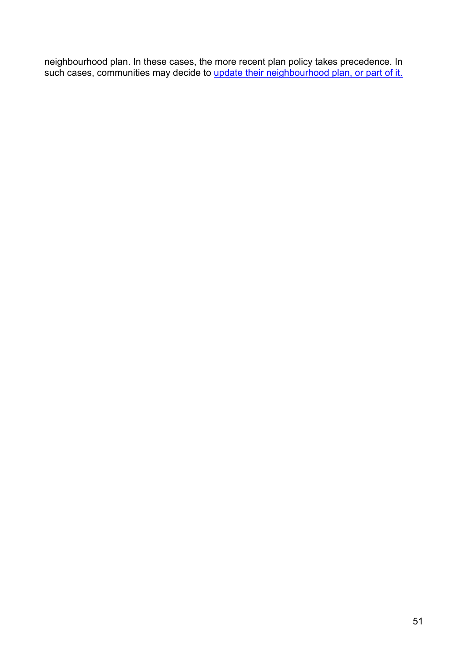neighbourhood plan. In these cases, the more recent plan policy takes precedence. In such cases, communities may decide to <u>update [their neighbourhood plan, or part of it.](https://www.gov.uk/guidance/neighbourhood-planning--2#updating-a-neighbourhood-plan)</u>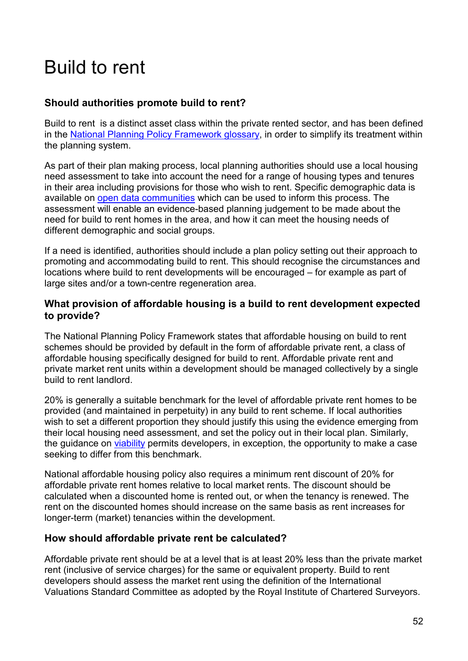# <span id="page-51-0"></span>Build to rent

# **Should authorities promote build to rent?**

Build to rent is a distinct asset class within the private rented sector, and has been defined in the [National Planning Policy Framework](https://www.gov.uk/government/uploads/system/uploads/attachment_data/file/685289/Draft_revised_National_Planning_Policy_Framework.pdf) glossary, in order to simplify its treatment within the planning system.

As part of their plan making process, local planning authorities should use a local housing need assessment to take into account the need for a range of housing types and tenures in their area including provisions for those who wish to rent. Specific demographic data is available on [open data communities](http://opendatacommunities.org/) which can be used to inform this process. The assessment will enable an evidence-based planning judgement to be made about the need for build to rent homes in the area, and how it can meet the housing needs of different demographic and social groups.

If a need is identified, authorities should include a plan policy setting out their approach to promoting and accommodating build to rent. This should recognise the circumstances and locations where build to rent developments will be encouraged – for example as part of large sites and/or a town-centre regeneration area.

# **What provision of affordable housing is a build to rent development expected to provide?**

The National Planning Policy Framework states that affordable housing on build to rent schemes should be provided by default in the form of affordable private rent, a class of affordable housing specifically designed for build to rent. Affordable private rent and private market rent units within a development should be managed collectively by a single build to rent landlord.

20% is generally a suitable benchmark for the level of affordable private rent homes to be provided (and maintained in perpetuity) in any build to rent scheme. If local authorities wish to set a different proportion they should justify this using the evidence emerging from their local housing need assessment, and set the policy out in their local plan. Similarly, the guidance on viability permits developers, in exception, the opportunity to make a case seeking to differ from this benchmark.

National affordable housing policy also requires a minimum rent discount of 20% for affordable private rent homes relative to local market rents. The discount should be calculated when a discounted home is rented out, or when the tenancy is renewed. The rent on the discounted homes should increase on the same basis as rent increases for longer-term (market) tenancies within the development.

#### **How should affordable private rent be calculated?**

Affordable private rent should be at a level that is at least 20% less than the private market rent (inclusive of service charges) for the same or equivalent property. Build to rent developers should assess the market rent using the definition of the International Valuations Standard Committee as adopted by the Royal Institute of Chartered Surveyors.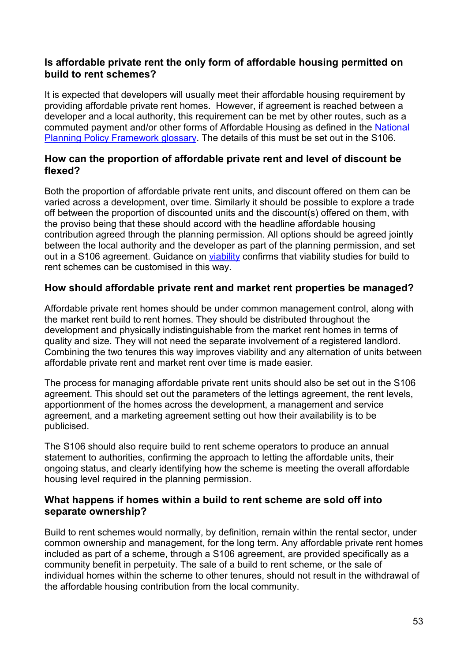# **Is affordable private rent the only form of affordable housing permitted on build to rent schemes?**

It is expected that developers will usually meet their affordable housing requirement by providing affordable private rent homes. However, if agreement is reached between a developer and a local authority, this requirement can be met by other routes, such as a commuted payment and/or other forms of Affordable Housing as defined in the [National](https://www.gov.uk/government/uploads/system/uploads/attachment_data/file/685289/Draft_revised_National_Planning_Policy_Framework.pdf)  [Planning Policy Framework glossary.](https://www.gov.uk/government/uploads/system/uploads/attachment_data/file/685289/Draft_revised_National_Planning_Policy_Framework.pdf) The details of this must be set out in the S106.

# **How can the proportion of affordable private rent and level of discount be flexed?**

Both the proportion of affordable private rent units, and discount offered on them can be varied across a development, over time. Similarly it should be possible to explore a trade off between the proportion of discounted units and the discount(s) offered on them, with the proviso being that these should accord with the headline affordable housing contribution agreed through the planning permission. All options should be agreed jointly between the local authority and the developer as part of the planning permission, and set out in a S106 agreement. Guidance on viability confirms that viability studies for build to rent schemes can be customised in this way.

# **How should affordable private rent and market rent properties be managed?**

Affordable private rent homes should be under common management control, along with the market rent build to rent homes. They should be distributed throughout the development and physically indistinguishable from the market rent homes in terms of quality and size. They will not need the separate involvement of a registered landlord. Combining the two tenures this way improves viability and any alternation of units between affordable private rent and market rent over time is made easier.

The process for managing affordable private rent units should also be set out in the S106 agreement. This should set out the parameters of the lettings agreement, the rent levels, apportionment of the homes across the development, a management and service agreement, and a marketing agreement setting out how their availability is to be publicised.

The S106 should also require build to rent scheme operators to produce an annual statement to authorities, confirming the approach to letting the affordable units, their ongoing status, and clearly identifying how the scheme is meeting the overall affordable housing level required in the planning permission.

#### **What happens if homes within a build to rent scheme are sold off into separate ownership?**

Build to rent schemes would normally, by definition, remain within the rental sector, under common ownership and management, for the long term. Any affordable private rent homes included as part of a scheme, through a S106 agreement, are provided specifically as a community benefit in perpetuity. The sale of a build to rent scheme, or the sale of individual homes within the scheme to other tenures, should not result in the withdrawal of the affordable housing contribution from the local community.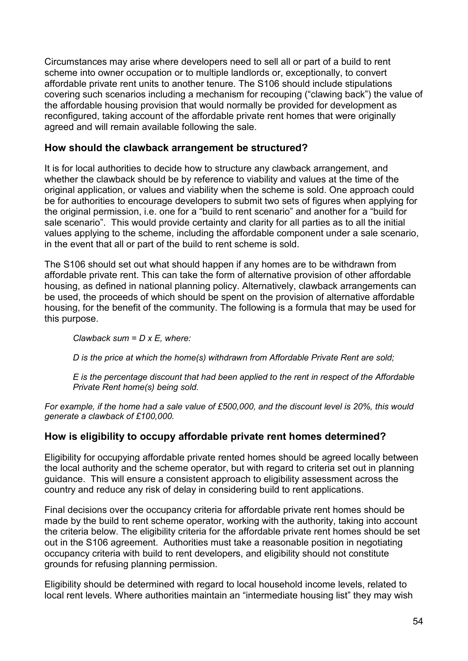Circumstances may arise where developers need to sell all or part of a build to rent scheme into owner occupation or to multiple landlords or, exceptionally, to convert affordable private rent units to another tenure. The S106 should include stipulations covering such scenarios including a mechanism for recouping ("clawing back") the value of the affordable housing provision that would normally be provided for development as reconfigured, taking account of the affordable private rent homes that were originally agreed and will remain available following the sale.

# **How should the clawback arrangement be structured?**

It is for local authorities to decide how to structure any clawback arrangement, and whether the clawback should be by reference to viability and values at the time of the original application, or values and viability when the scheme is sold. One approach could be for authorities to encourage developers to submit two sets of figures when applying for the original permission, i.e. one for a "build to rent scenario" and another for a "build for sale scenario". This would provide certainty and clarity for all parties as to all the initial values applying to the scheme, including the affordable component under a sale scenario, in the event that all or part of the build to rent scheme is sold.

The S106 should set out what should happen if any homes are to be withdrawn from affordable private rent. This can take the form of alternative provision of other affordable housing, as defined in national planning policy. Alternatively, clawback arrangements can be used, the proceeds of which should be spent on the provision of alternative affordable housing, for the benefit of the community. The following is a formula that may be used for this purpose.

*Clawback sum = D x E, where:*

*D is the price at which the home(s) withdrawn from Affordable Private Rent are sold;*

*E is the percentage discount that had been applied to the rent in respect of the Affordable Private Rent home(s) being sold.*

*For example, if the home had a sale value of £500,000, and the discount level is 20%, this would generate a clawback of £100,000.*

# **How is eligibility to occupy affordable private rent homes determined?**

Eligibility for occupying affordable private rented homes should be agreed locally between the local authority and the scheme operator, but with regard to criteria set out in planning guidance. This will ensure a consistent approach to eligibility assessment across the country and reduce any risk of delay in considering build to rent applications.

Final decisions over the occupancy criteria for affordable private rent homes should be made by the build to rent scheme operator, working with the authority, taking into account the criteria below. The eligibility criteria for the affordable private rent homes should be set out in the S106 agreement. Authorities must take a reasonable position in negotiating occupancy criteria with build to rent developers, and eligibility should not constitute grounds for refusing planning permission.

Eligibility should be determined with regard to local household income levels, related to local rent levels. Where authorities maintain an "intermediate housing list" they may wish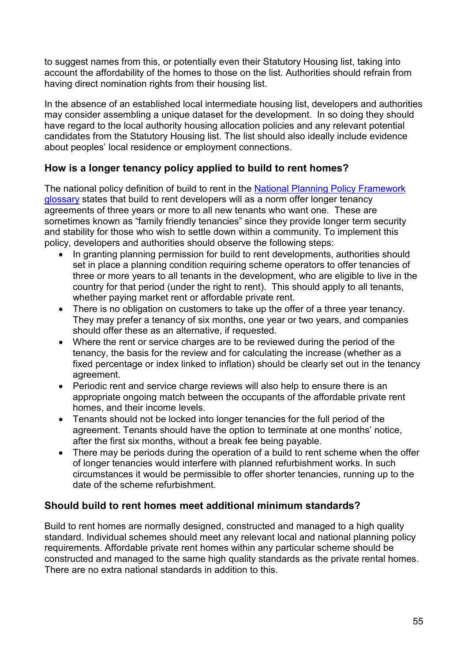to suggest names from this, or potentially even their Statutory Housing list, taking into account the affordability of the homes to those on the list. Authorities should refrain from having direct nomination rights from their housing list.

In the absence of an established local intermediate housing list, developers and authorities may consider assembling a unique dataset for the development. In so doing they should have regard to the local authority housing allocation policies and any relevant potential candidates from the Statutory Housing list. The list should also ideally include evidence about peoples' local residence or employment connections.

# **How is a longer tenancy policy applied to build to rent homes?**

The national policy definition of build to rent in the [National Planning Policy Framework](https://www.gov.uk/government/uploads/system/uploads/attachment_data/file/685289/Draft_revised_National_Planning_Policy_Framework.pdf) [glossary](https://www.gov.uk/government/uploads/system/uploads/attachment_data/file/685289/Draft_revised_National_Planning_Policy_Framework.pdf) states that build to rent developers will as a norm offer longer tenancy agreements of three years or more to all new tenants who want one. These are sometimes known as "family friendly tenancies" since they provide longer term security and stability for those who wish to settle down within a community. To implement this policy, developers and authorities should observe the following steps:

- In granting planning permission for build to rent developments, authorities should set in place a planning condition requiring scheme operators to offer tenancies of three or more years to all tenants in the development, who are eligible to live in the country for that period (under the right to rent). This should apply to all tenants, whether paying market rent or affordable private rent.
- There is no obligation on customers to take up the offer of a three year tenancy. They may prefer a tenancy of six months, one year or two years, and companies should offer these as an alternative, if requested.
- Where the rent or service charges are to be reviewed during the period of the tenancy, the basis for the review and for calculating the increase (whether as a fixed percentage or index linked to inflation) should be clearly set out in the tenancy agreement.
- Periodic rent and service charge reviews will also help to ensure there is an appropriate ongoing match between the occupants of the affordable private rent homes, and their income levels.
- Tenants should not be locked into longer tenancies for the full period of the agreement. Tenants should have the option to terminate at one months' notice, after the first six months, without a break fee being payable.
- There may be periods during the operation of a build to rent scheme when the offer of longer tenancies would interfere with planned refurbishment works. In such circumstances it would be permissible to offer shorter tenancies, running up to the date of the scheme refurbishment.

# **Should build to rent homes meet additional minimum standards?**

Build to rent homes are normally designed, constructed and managed to a high quality standard. Individual schemes should meet any relevant local and national planning policy requirements. Affordable private rent homes within any particular scheme should be constructed and managed to the same high quality standards as the private rental homes. There are no extra national standards in addition to this.